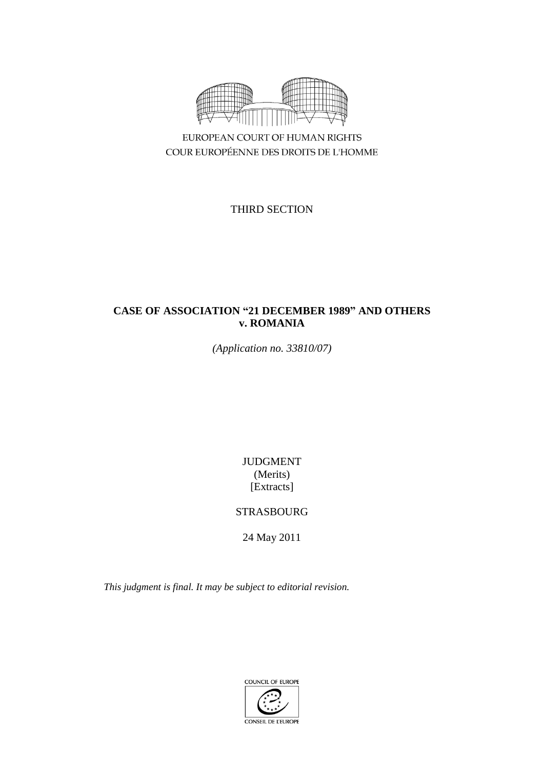

EUROPEAN COURT OF HUMAN RIGHTS COUR EUROPÉENNE DES DROITS DE L'HOMME

THIRD SECTION

# **CASE OF ASSOCIATION "21 DECEMBER 1989" AND OTHERS v. ROMANIA**

*(Application no. 33810/07)*

JUDGMENT (Merits) [Extracts]

# STRASBOURG

24 May 2011

*This judgment is final. It may be subject to editorial revision.*

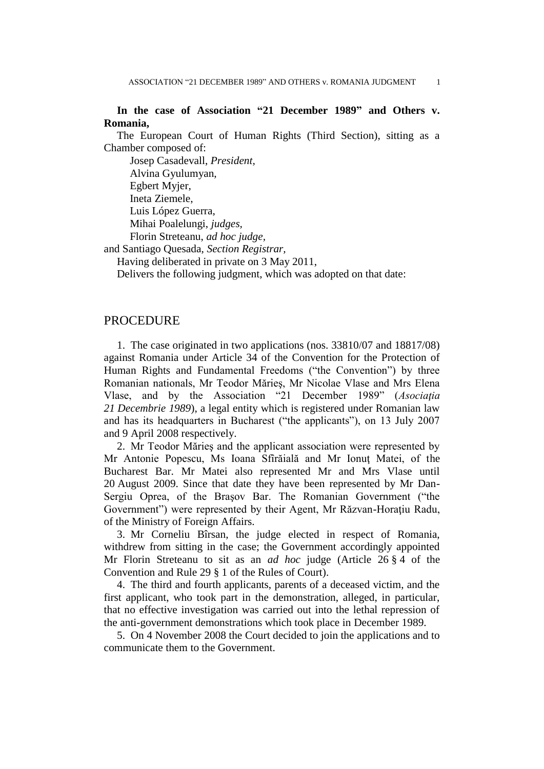## **In the case of Association "21 December 1989" and Others v. Romania,**

The European Court of Human Rights (Third Section), sitting as a Chamber composed of:

Josep Casadevall, *President,* Alvina Gyulumyan, Egbert Myjer, Ineta Ziemele, Luis López Guerra, Mihai Poalelungi, *judges,* Florin Streteanu, *ad hoc judge,*

and Santiago Quesada, *Section Registrar,*

Having deliberated in private on 3 May 2011,

Delivers the following judgment, which was adopted on that date:

### **PROCEDURE**

1. The case originated in two applications (nos. 33810/07 and 18817/08) against Romania under Article 34 of the Convention for the Protection of Human Rights and Fundamental Freedoms ("the Convention") by three Romanian nationals, Mr Teodor Mărieş, Mr Nicolae Vlase and Mrs Elena Vlase, and by the Association "21 December 1989" (*Asociaţia 21 Decembrie 1989*), a legal entity which is registered under Romanian law and has its headquarters in Bucharest ("the applicants"), on 13 July 2007 and 9 April 2008 respectively.

2. Mr Teodor Mărieş and the applicant association were represented by Mr Antonie Popescu, Ms Ioana Sfîrăială and Mr Ionuţ Matei, of the Bucharest Bar. Mr Matei also represented Mr and Mrs Vlase until 20 August 2009. Since that date they have been represented by Mr Dan-Sergiu Oprea, of the Braşov Bar. The Romanian Government ("the Government") were represented by their Agent, Mr Răzvan-Horaţiu Radu, of the Ministry of Foreign Affairs.

3. Mr Corneliu Bîrsan, the judge elected in respect of Romania, withdrew from sitting in the case; the Government accordingly appointed Mr Florin Streteanu to sit as an *ad hoc* judge (Article 26 § 4 of the Convention and Rule 29 § 1 of the Rules of Court).

4. The third and fourth applicants, parents of a deceased victim, and the first applicant, who took part in the demonstration, alleged, in particular, that no effective investigation was carried out into the lethal repression of the anti-government demonstrations which took place in December 1989.

5. On 4 November 2008 the Court decided to join the applications and to communicate them to the Government.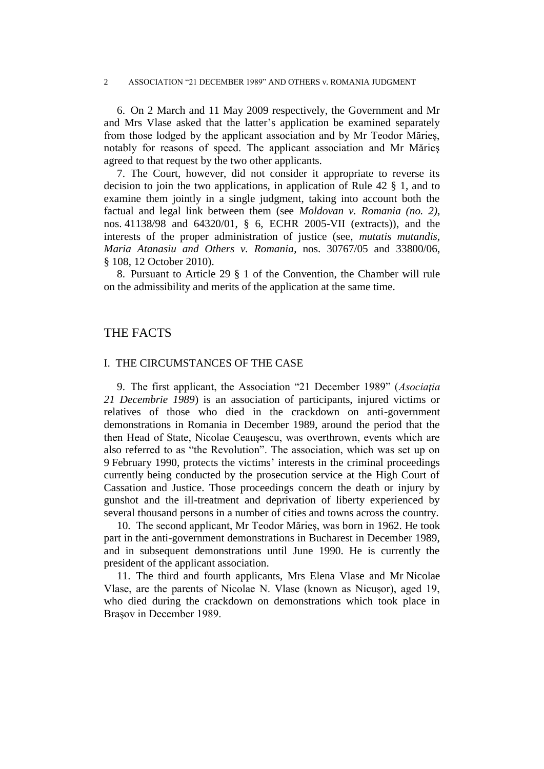6. On 2 March and 11 May 2009 respectively, the Government and Mr and Mrs Vlase asked that the latter's application be examined separately from those lodged by the applicant association and by Mr Teodor Mărieş, notably for reasons of speed. The applicant association and Mr Mărieş agreed to that request by the two other applicants.

7. The Court, however, did not consider it appropriate to reverse its decision to join the two applications, in application of Rule 42 § 1, and to examine them jointly in a single judgment, taking into account both the factual and legal link between them (see *Moldovan v. Romania (no. 2)*, nos. 41138/98 and 64320/01, § 6, ECHR 2005-VII (extracts)), and the interests of the proper administration of justice (see, *mutatis mutandis, Maria Atanasiu and Others v. Romania*, nos. 30767/05 and 33800/06, § 108, 12 October 2010).

8. Pursuant to Article 29 § 1 of the Convention, the Chamber will rule on the admissibility and merits of the application at the same time.

## THE FACTS

### I. THE CIRCUMSTANCES OF THE CASE

9. The first applicant, the Association "21 December 1989" (*Asociaţia 21 Decembrie 1989*) is an association of participants, injured victims or relatives of those who died in the crackdown on anti-government demonstrations in Romania in December 1989, around the period that the then Head of State, Nicolae Ceauşescu, was overthrown, events which are also referred to as "the Revolution". The association, which was set up on 9 February 1990, protects the victims' interests in the criminal proceedings currently being conducted by the prosecution service at the High Court of Cassation and Justice. Those proceedings concern the death or injury by gunshot and the ill-treatment and deprivation of liberty experienced by several thousand persons in a number of cities and towns across the country.

10. The second applicant, Mr Teodor Mărieş, was born in 1962. He took part in the anti-government demonstrations in Bucharest in December 1989, and in subsequent demonstrations until June 1990. He is currently the president of the applicant association.

11. The third and fourth applicants, Mrs Elena Vlase and Mr Nicolae Vlase, are the parents of Nicolae N. Vlase (known as Nicuşor), aged 19, who died during the crackdown on demonstrations which took place in Braşov in December 1989.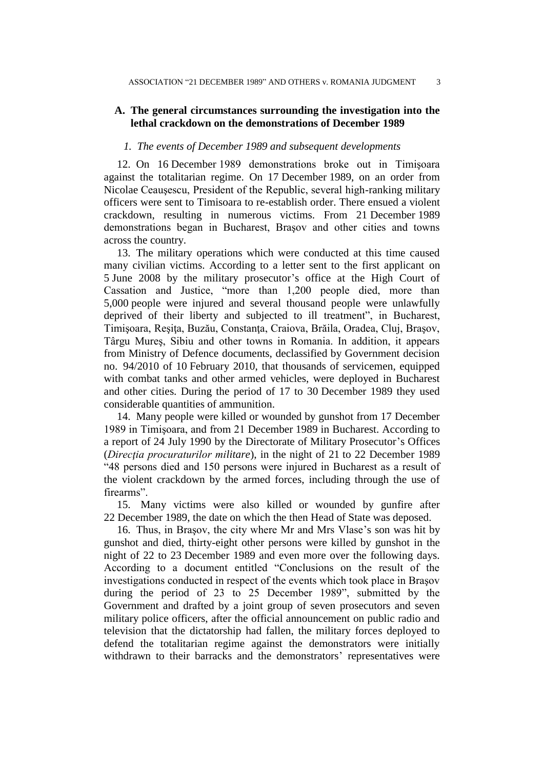## **A. The general circumstances surrounding the investigation into the lethal crackdown on the demonstrations of December 1989**

### *1. The events of December 1989 and subsequent developments*

12. On 16 December 1989 demonstrations broke out in Timişoara against the totalitarian regime. On 17 December 1989, on an order from Nicolae Ceauşescu, President of the Republic, several high-ranking military officers were sent to Timisoara to re-establish order. There ensued a violent crackdown, resulting in numerous victims. From 21 December 1989 demonstrations began in Bucharest, Braşov and other cities and towns across the country.

13. The military operations which were conducted at this time caused many civilian victims. According to a letter sent to the first applicant on 5 June 2008 by the military prosecutor's office at the High Court of Cassation and Justice, "more than 1,200 people died, more than 5,000 people were injured and several thousand people were unlawfully deprived of their liberty and subjected to ill treatment", in Bucharest, Timişoara, Reşiţa, Buzău, Constanţa, Craiova, Brăila, Oradea, Cluj, Braşov, Târgu Mureş, Sibiu and other towns in Romania. In addition, it appears from Ministry of Defence documents, declassified by Government decision no. 94/2010 of 10 February 2010, that thousands of servicemen, equipped with combat tanks and other armed vehicles, were deployed in Bucharest and other cities. During the period of 17 to 30 December 1989 they used considerable quantities of ammunition.

14. Many people were killed or wounded by gunshot from 17 December 1989 in Timişoara, and from 21 December 1989 in Bucharest. According to a report of 24 July 1990 by the Directorate of Military Prosecutor's Offices (*Direcţia procuraturilor militare*), in the night of 21 to 22 December 1989 "48 persons died and 150 persons were injured in Bucharest as a result of the violent crackdown by the armed forces, including through the use of firearms".

15. Many victims were also killed or wounded by gunfire after 22 December 1989, the date on which the then Head of State was deposed.

16. Thus, in Braşov, the city where Mr and Mrs Vlase's son was hit by gunshot and died, thirty-eight other persons were killed by gunshot in the night of 22 to 23 December 1989 and even more over the following days. According to a document entitled "Conclusions on the result of the investigations conducted in respect of the events which took place in Braşov during the period of 23 to 25 December 1989", submitted by the Government and drafted by a joint group of seven prosecutors and seven military police officers, after the official announcement on public radio and television that the dictatorship had fallen, the military forces deployed to defend the totalitarian regime against the demonstrators were initially withdrawn to their barracks and the demonstrators' representatives were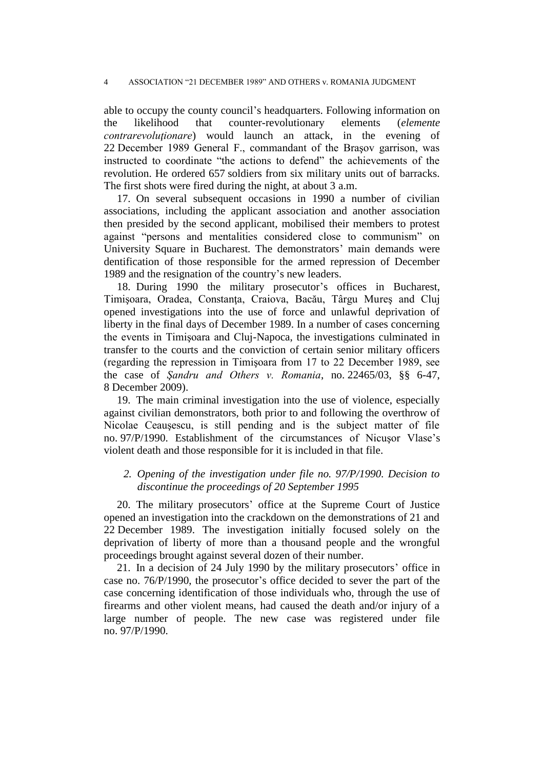able to occupy the county council's headquarters. Following information on the likelihood that counter-revolutionary elements (*elemente contrarevoluţionare*) would launch an attack, in the evening of 22 December 1989 General F., commandant of the Braşov garrison, was instructed to coordinate "the actions to defend" the achievements of the revolution. He ordered 657 soldiers from six military units out of barracks. The first shots were fired during the night, at about 3 a.m.

17. On several subsequent occasions in 1990 a number of civilian associations, including the applicant association and another association then presided by the second applicant, mobilised their members to protest against "persons and mentalities considered close to communism" on University Square in Bucharest. The demonstrators' main demands were dentification of those responsible for the armed repression of December 1989 and the resignation of the country's new leaders.

18. During 1990 the military prosecutor's offices in Bucharest, Timișoara, Oradea, Constanța, Craiova, Bacău, Târgu Mureș and Cluj opened investigations into the use of force and unlawful deprivation of liberty in the final days of December 1989. In a number of cases concerning the events in Timişoara and Cluj-Napoca, the investigations culminated in transfer to the courts and the conviction of certain senior military officers (regarding the repression in Timişoara from 17 to 22 December 1989, see the case of *Şandru and Others v. Romania*, no. 22465/03, §§ 6-47, 8 December 2009).

19. The main criminal investigation into the use of violence, especially against civilian demonstrators, both prior to and following the overthrow of Nicolae Ceauşescu, is still pending and is the subject matter of file no. 97/P/1990. Establishment of the circumstances of Nicusor Vlase's violent death and those responsible for it is included in that file.

## *2. Opening of the investigation under file no. 97/P/1990. Decision to discontinue the proceedings of 20 September 1995*

20. The military prosecutors' office at the Supreme Court of Justice opened an investigation into the crackdown on the demonstrations of 21 and 22 December 1989. The investigation initially focused solely on the deprivation of liberty of more than a thousand people and the wrongful proceedings brought against several dozen of their number.

21. In a decision of 24 July 1990 by the military prosecutors' office in case no. 76/P/1990, the prosecutor's office decided to sever the part of the case concerning identification of those individuals who, through the use of firearms and other violent means, had caused the death and/or injury of a large number of people. The new case was registered under file no. 97/P/1990.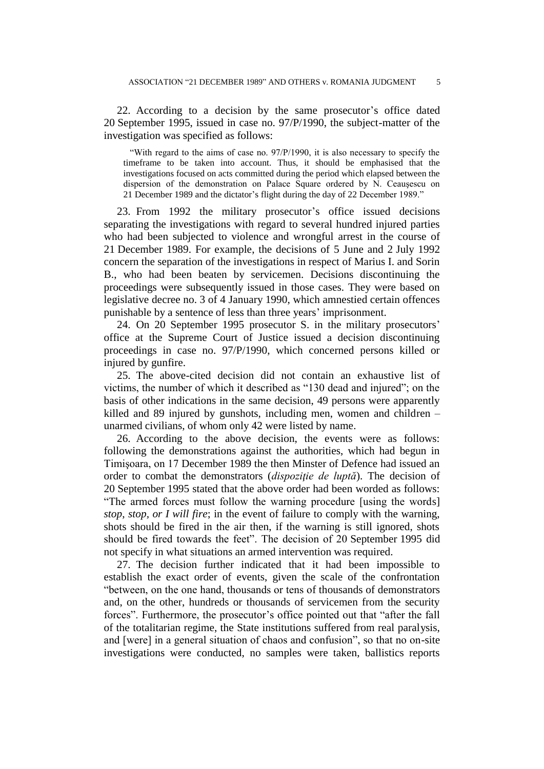22. According to a decision by the same prosecutor's office dated 20 September 1995, issued in case no. 97/P/1990, the subject-matter of the investigation was specified as follows:

"With regard to the aims of case no. 97/P/1990, it is also necessary to specify the timeframe to be taken into account. Thus, it should be emphasised that the investigations focused on acts committed during the period which elapsed between the dispersion of the demonstration on Palace Square ordered by N. Ceauşescu on 21 December 1989 and the dictator's flight during the day of 22 December 1989."

23. From 1992 the military prosecutor's office issued decisions separating the investigations with regard to several hundred injured parties who had been subjected to violence and wrongful arrest in the course of 21 December 1989. For example, the decisions of 5 June and 2 July 1992 concern the separation of the investigations in respect of Marius I. and Sorin B., who had been beaten by servicemen. Decisions discontinuing the proceedings were subsequently issued in those cases. They were based on legislative decree no. 3 of 4 January 1990, which amnestied certain offences punishable by a sentence of less than three years' imprisonment.

24. On 20 September 1995 prosecutor S. in the military prosecutors' office at the Supreme Court of Justice issued a decision discontinuing proceedings in case no. 97/P/1990, which concerned persons killed or injured by gunfire.

25. The above-cited decision did not contain an exhaustive list of victims, the number of which it described as "130 dead and injured"; on the basis of other indications in the same decision, 49 persons were apparently killed and 89 injured by gunshots, including men, women and children – unarmed civilians, of whom only 42 were listed by name.

26. According to the above decision, the events were as follows: following the demonstrations against the authorities, which had begun in Timişoara, on 17 December 1989 the then Minster of Defence had issued an order to combat the demonstrators (*dispoziţie de luptă*). The decision of 20 September 1995 stated that the above order had been worded as follows: "The armed forces must follow the warning procedure [using the words] *stop*, *stop, or I will fire*; in the event of failure to comply with the warning, shots should be fired in the air then, if the warning is still ignored, shots should be fired towards the feet". The decision of 20 September 1995 did not specify in what situations an armed intervention was required.

27. The decision further indicated that it had been impossible to establish the exact order of events, given the scale of the confrontation "between, on the one hand, thousands or tens of thousands of demonstrators and, on the other, hundreds or thousands of servicemen from the security forces". Furthermore, the prosecutor's office pointed out that "after the fall of the totalitarian regime, the State institutions suffered from real paralysis, and [were] in a general situation of chaos and confusion", so that no on-site investigations were conducted, no samples were taken, ballistics reports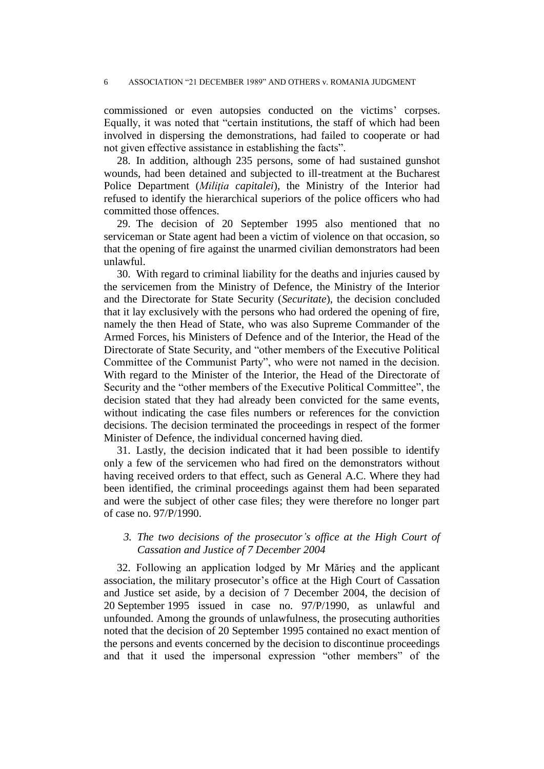commissioned or even autopsies conducted on the victims' corpses. Equally, it was noted that "certain institutions, the staff of which had been involved in dispersing the demonstrations, had failed to cooperate or had not given effective assistance in establishing the facts".

28. In addition, although 235 persons, some of had sustained gunshot wounds, had been detained and subjected to ill-treatment at the Bucharest Police Department (*Miliţia capitalei*), the Ministry of the Interior had refused to identify the hierarchical superiors of the police officers who had committed those offences.

29. The decision of 20 September 1995 also mentioned that no serviceman or State agent had been a victim of violence on that occasion, so that the opening of fire against the unarmed civilian demonstrators had been unlawful.

30. With regard to criminal liability for the deaths and injuries caused by the servicemen from the Ministry of Defence, the Ministry of the Interior and the Directorate for State Security (*Securitate*), the decision concluded that it lay exclusively with the persons who had ordered the opening of fire, namely the then Head of State, who was also Supreme Commander of the Armed Forces, his Ministers of Defence and of the Interior, the Head of the Directorate of State Security, and "other members of the Executive Political Committee of the Communist Party", who were not named in the decision. With regard to the Minister of the Interior, the Head of the Directorate of Security and the "other members of the Executive Political Committee", the decision stated that they had already been convicted for the same events, without indicating the case files numbers or references for the conviction decisions. The decision terminated the proceedings in respect of the former Minister of Defence, the individual concerned having died.

31. Lastly, the decision indicated that it had been possible to identify only a few of the servicemen who had fired on the demonstrators without having received orders to that effect, such as General A.C. Where they had been identified, the criminal proceedings against them had been separated and were the subject of other case files; they were therefore no longer part of case no. 97/P/1990.

## *3. The two decisions of the prosecutor's office at the High Court of Cassation and Justice of 7 December 2004*

32. Following an application lodged by Mr Mărieş and the applicant association, the military prosecutor's office at the High Court of Cassation and Justice set aside, by a decision of 7 December 2004, the decision of 20 September 1995 issued in case no. 97/P/1990, as unlawful and unfounded. Among the grounds of unlawfulness, the prosecuting authorities noted that the decision of 20 September 1995 contained no exact mention of the persons and events concerned by the decision to discontinue proceedings and that it used the impersonal expression "other members" of the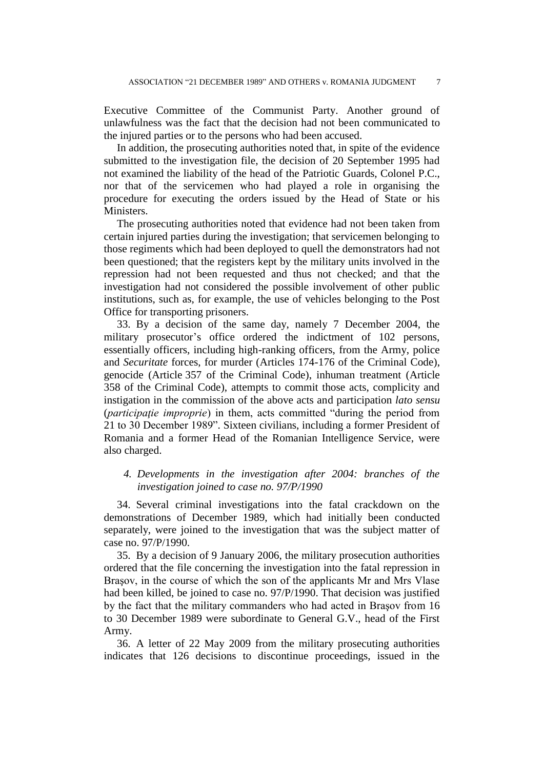Executive Committee of the Communist Party. Another ground of unlawfulness was the fact that the decision had not been communicated to the injured parties or to the persons who had been accused.

In addition, the prosecuting authorities noted that, in spite of the evidence submitted to the investigation file, the decision of 20 September 1995 had not examined the liability of the head of the Patriotic Guards, Colonel P.C., nor that of the servicemen who had played a role in organising the procedure for executing the orders issued by the Head of State or his Ministers.

The prosecuting authorities noted that evidence had not been taken from certain injured parties during the investigation; that servicemen belonging to those regiments which had been deployed to quell the demonstrators had not been questioned; that the registers kept by the military units involved in the repression had not been requested and thus not checked; and that the investigation had not considered the possible involvement of other public institutions, such as, for example, the use of vehicles belonging to the Post Office for transporting prisoners.

33. By a decision of the same day, namely 7 December 2004, the military prosecutor's office ordered the indictment of 102 persons, essentially officers, including high-ranking officers, from the Army, police and *Securitate* forces, for murder (Articles 174-176 of the Criminal Code), genocide (Article 357 of the Criminal Code), inhuman treatment (Article 358 of the Criminal Code), attempts to commit those acts, complicity and instigation in the commission of the above acts and participation *lato sensu*  (*participaţie improprie*) in them, acts committed "during the period from 21 to 30 December 1989"*.* Sixteen civilians, including a former President of Romania and a former Head of the Romanian Intelligence Service, were also charged.

## *4. Developments in the investigation after 2004: branches of the investigation joined to case no. 97/P/1990*

34. Several criminal investigations into the fatal crackdown on the demonstrations of December 1989, which had initially been conducted separately, were joined to the investigation that was the subject matter of case no. 97/P/1990.

35. By a decision of 9 January 2006, the military prosecution authorities ordered that the file concerning the investigation into the fatal repression in Braşov, in the course of which the son of the applicants Mr and Mrs Vlase had been killed, be joined to case no. 97/P/1990. That decision was justified by the fact that the military commanders who had acted in Braşov from 16 to 30 December 1989 were subordinate to General G.V., head of the First Army.

36. A letter of 22 May 2009 from the military prosecuting authorities indicates that 126 decisions to discontinue proceedings, issued in the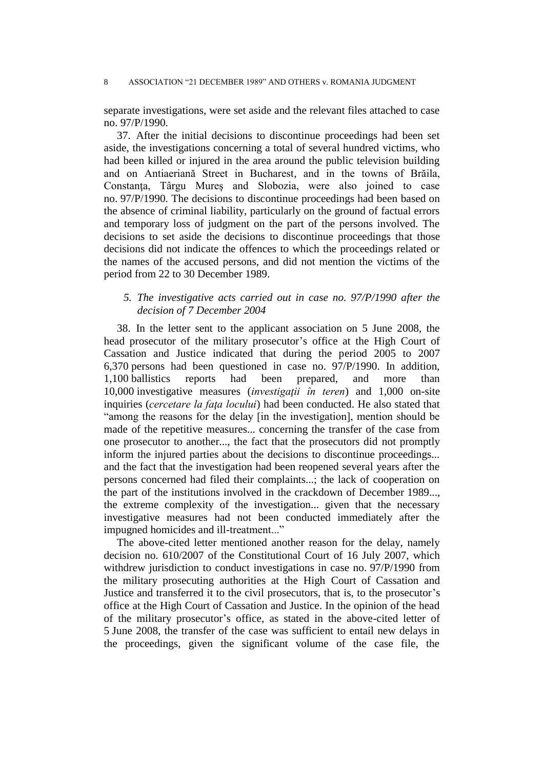separate investigations, were set aside and the relevant files attached to case no. 97/P/1990.

37. After the initial decisions to discontinue proceedings had been set aside, the investigations concerning a total of several hundred victims, who had been killed or injured in the area around the public television building and on Antiaeriană Street in Bucharest*,* and in the towns of Brăila, Constanta, Târgu Mures and Slobozia, were also joined to case no. 97/P/1990. The decisions to discontinue proceedings had been based on the absence of criminal liability, particularly on the ground of factual errors and temporary loss of judgment on the part of the persons involved. The decisions to set aside the decisions to discontinue proceedings that those decisions did not indicate the offences to which the proceedings related or the names of the accused persons, and did not mention the victims of the period from 22 to 30 December 1989.

## *5. The investigative acts carried out in case no. 97/P/1990 after the decision of 7 December 2004*

38. In the letter sent to the applicant association on 5 June 2008, the head prosecutor of the military prosecutor's office at the High Court of Cassation and Justice indicated that during the period 2005 to 2007 6,370 persons had been questioned in case no. 97/P/1990. In addition, 1,100 ballistics reports had been prepared, and more than 10,000 investigative measures (*investigaţii în teren*) and 1,000 on-site inquiries (*cercetare la faţa locului*) had been conducted. He also stated that "among the reasons for the delay [in the investigation], mention should be made of the repetitive measures... concerning the transfer of the case from one prosecutor to another..., the fact that the prosecutors did not promptly inform the injured parties about the decisions to discontinue proceedings... and the fact that the investigation had been reopened several years after the persons concerned had filed their complaints...; the lack of cooperation on the part of the institutions involved in the crackdown of December 1989..., the extreme complexity of the investigation... given that the necessary investigative measures had not been conducted immediately after the impugned homicides and ill-treatment..."

The above-cited letter mentioned another reason for the delay, namely decision no. 610/2007 of the Constitutional Court of 16 July 2007, which withdrew jurisdiction to conduct investigations in case no. 97/P/1990 from the military prosecuting authorities at the High Court of Cassation and Justice and transferred it to the civil prosecutors, that is, to the prosecutor's office at the High Court of Cassation and Justice. In the opinion of the head of the military prosecutor's office, as stated in the above-cited letter of 5 June 2008, the transfer of the case was sufficient to entail new delays in the proceedings, given the significant volume of the case file, the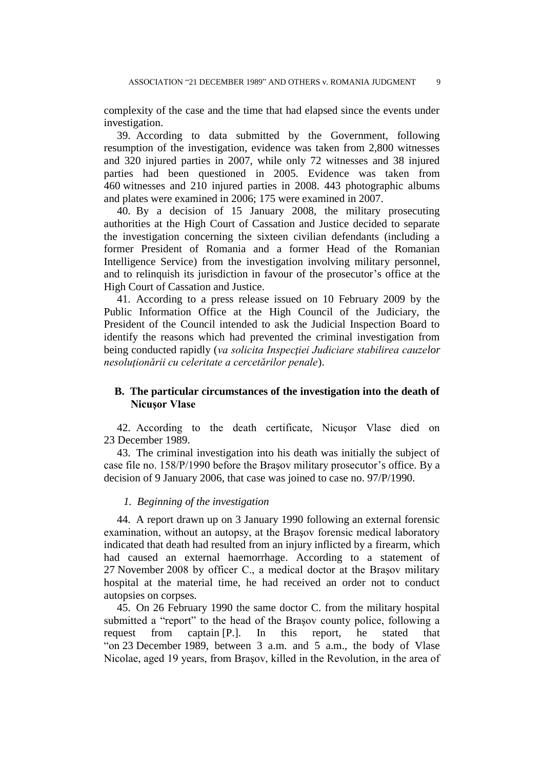complexity of the case and the time that had elapsed since the events under investigation.

39. According to data submitted by the Government, following resumption of the investigation, evidence was taken from 2,800 witnesses and 320 injured parties in 2007, while only 72 witnesses and 38 injured parties had been questioned in 2005. Evidence was taken from 460 witnesses and 210 injured parties in 2008. 443 photographic albums and plates were examined in 2006; 175 were examined in 2007.

40. By a decision of 15 January 2008, the military prosecuting authorities at the High Court of Cassation and Justice decided to separate the investigation concerning the sixteen civilian defendants (including a former President of Romania and a former Head of the Romanian Intelligence Service) from the investigation involving military personnel, and to relinquish its jurisdiction in favour of the prosecutor's office at the High Court of Cassation and Justice.

41. According to a press release issued on 10 February 2009 by the Public Information Office at the High Council of the Judiciary, the President of the Council intended to ask the Judicial Inspection Board to identify the reasons which had prevented the criminal investigation from being conducted rapidly (*va solicita Inspecţiei Judiciare stabilirea cauzelor nesoluţionării cu celeritate a cercetărilor penale*).

## **B. The particular circumstances of the investigation into the death of Nicuşor Vlase**

42. According to the death certificate, Nicuşor Vlase died on 23 December 1989.

43. The criminal investigation into his death was initially the subject of case file no. 158/P/1990 before the Braşov military prosecutor's office. By a decision of 9 January 2006, that case was joined to case no. 97/P/1990.

### *1. Beginning of the investigation*

44. A report drawn up on 3 January 1990 following an external forensic examination, without an autopsy, at the Braşov forensic medical laboratory indicated that death had resulted from an injury inflicted by a firearm, which had caused an external haemorrhage. According to a statement of 27 November 2008 by officer C., a medical doctor at the Braşov military hospital at the material time, he had received an order not to conduct autopsies on corpses.

45. On 26 February 1990 the same doctor C. from the military hospital submitted a "report" to the head of the Braşov county police, following a request from captain [P.]. In this report, he stated that "on 23 December 1989, between 3 a.m. and 5 a.m., the body of Vlase Nicolae, aged 19 years, from Braşov, killed in the Revolution, in the area of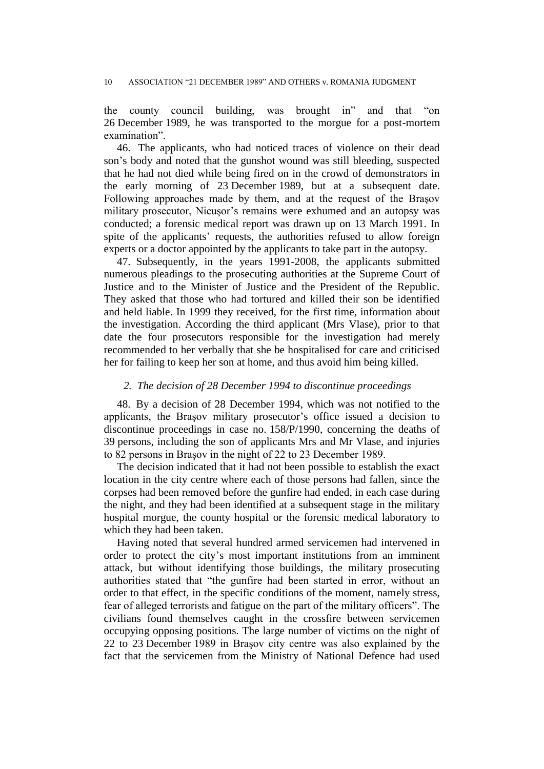the county council building, was brought in" and that "on 26 December 1989, he was transported to the morgue for a post-mortem examination".

46. The applicants, who had noticed traces of violence on their dead son's body and noted that the gunshot wound was still bleeding, suspected that he had not died while being fired on in the crowd of demonstrators in the early morning of 23 December 1989, but at a subsequent date. Following approaches made by them, and at the request of the Braşov military prosecutor, Nicuşor's remains were exhumed and an autopsy was conducted; a forensic medical report was drawn up on 13 March 1991. In spite of the applicants' requests, the authorities refused to allow foreign experts or a doctor appointed by the applicants to take part in the autopsy.

47. Subsequently, in the years 1991-2008, the applicants submitted numerous pleadings to the prosecuting authorities at the Supreme Court of Justice and to the Minister of Justice and the President of the Republic. They asked that those who had tortured and killed their son be identified and held liable. In 1999 they received, for the first time, information about the investigation. According the third applicant (Mrs Vlase), prior to that date the four prosecutors responsible for the investigation had merely recommended to her verbally that she be hospitalised for care and criticised her for failing to keep her son at home, and thus avoid him being killed.

### *2. The decision of 28 December 1994 to discontinue proceedings*

48. By a decision of 28 December 1994, which was not notified to the applicants, the Braşov military prosecutor's office issued a decision to discontinue proceedings in case no. 158/P/1990, concerning the deaths of 39 persons, including the son of applicants Mrs and Mr Vlase, and injuries to 82 persons in Braşov in the night of 22 to 23 December 1989.

The decision indicated that it had not been possible to establish the exact location in the city centre where each of those persons had fallen, since the corpses had been removed before the gunfire had ended, in each case during the night, and they had been identified at a subsequent stage in the military hospital morgue, the county hospital or the forensic medical laboratory to which they had been taken.

Having noted that several hundred armed servicemen had intervened in order to protect the city's most important institutions from an imminent attack, but without identifying those buildings, the military prosecuting authorities stated that "the gunfire had been started in error, without an order to that effect, in the specific conditions of the moment, namely stress, fear of alleged terrorists and fatigue on the part of the military officers". The civilians found themselves caught in the crossfire between servicemen occupying opposing positions. The large number of victims on the night of 22 to 23 December 1989 in Braşov city centre was also explained by the fact that the servicemen from the Ministry of National Defence had used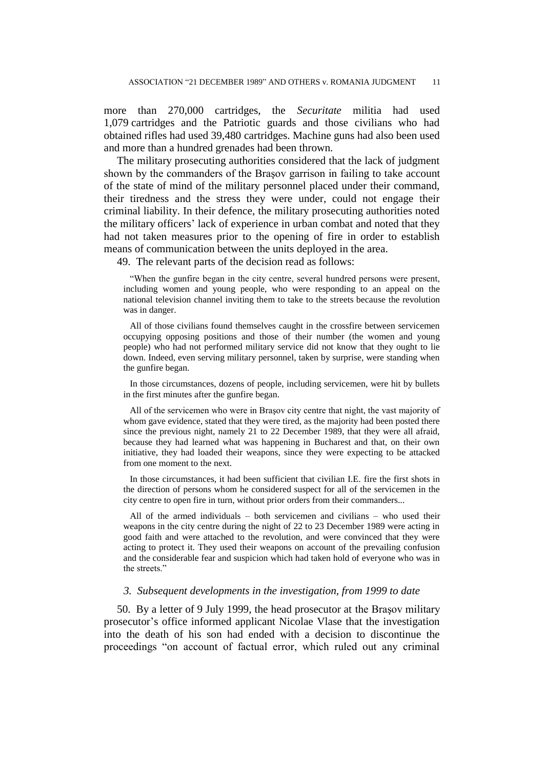more than 270,000 cartridges, the *Securitate* militia had used 1,079 cartridges and the Patriotic guards and those civilians who had obtained rifles had used 39,480 cartridges. Machine guns had also been used and more than a hundred grenades had been thrown.

The military prosecuting authorities considered that the lack of judgment shown by the commanders of the Braşov garrison in failing to take account of the state of mind of the military personnel placed under their command, their tiredness and the stress they were under, could not engage their criminal liability. In their defence, the military prosecuting authorities noted the military officers' lack of experience in urban combat and noted that they had not taken measures prior to the opening of fire in order to establish means of communication between the units deployed in the area.

49. The relevant parts of the decision read as follows:

"When the gunfire began in the city centre, several hundred persons were present, including women and young people, who were responding to an appeal on the national television channel inviting them to take to the streets because the revolution was in danger.

All of those civilians found themselves caught in the crossfire between servicemen occupying opposing positions and those of their number (the women and young people) who had not performed military service did not know that they ought to lie down. Indeed, even serving military personnel, taken by surprise, were standing when the gunfire began.

In those circumstances, dozens of people, including servicemen, were hit by bullets in the first minutes after the gunfire began.

All of the servicemen who were in Braşov city centre that night, the vast majority of whom gave evidence, stated that they were tired, as the majority had been posted there since the previous night, namely 21 to 22 December 1989, that they were all afraid, because they had learned what was happening in Bucharest and that, on their own initiative, they had loaded their weapons, since they were expecting to be attacked from one moment to the next.

In those circumstances, it had been sufficient that civilian I.E. fire the first shots in the direction of persons whom he considered suspect for all of the servicemen in the city centre to open fire in turn, without prior orders from their commanders...

All of the armed individuals – both servicemen and civilians – who used their weapons in the city centre during the night of 22 to 23 December 1989 were acting in good faith and were attached to the revolution, and were convinced that they were acting to protect it. They used their weapons on account of the prevailing confusion and the considerable fear and suspicion which had taken hold of everyone who was in the streets."

### *3. Subsequent developments in the investigation, from 1999 to date*

50. By a letter of 9 July 1999, the head prosecutor at the Braşov military prosecutor's office informed applicant Nicolae Vlase that the investigation into the death of his son had ended with a decision to discontinue the proceedings "on account of factual error, which ruled out any criminal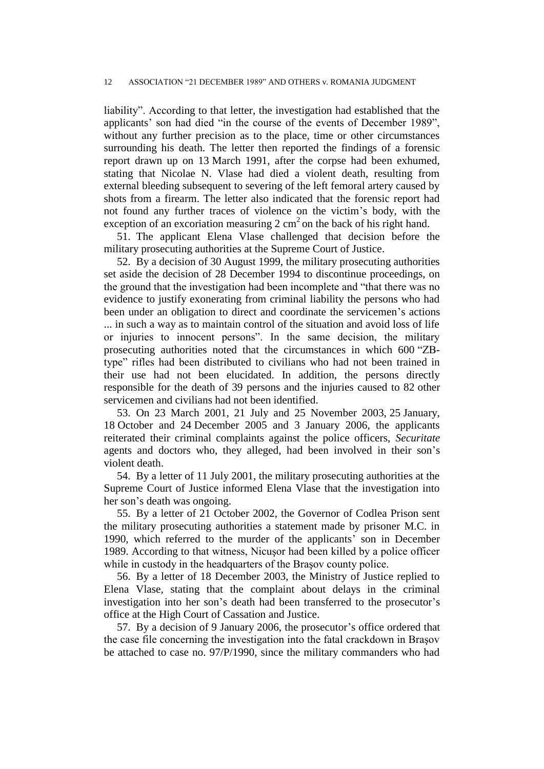liability". According to that letter, the investigation had established that the applicants' son had died "in the course of the events of December 1989", without any further precision as to the place, time or other circumstances surrounding his death. The letter then reported the findings of a forensic report drawn up on 13 March 1991, after the corpse had been exhumed, stating that Nicolae N. Vlase had died a violent death, resulting from external bleeding subsequent to severing of the left femoral artery caused by shots from a firearm. The letter also indicated that the forensic report had not found any further traces of violence on the victim's body, with the exception of an excoriation measuring  $2 \text{ cm}^2$  on the back of his right hand.

51. The applicant Elena Vlase challenged that decision before the military prosecuting authorities at the Supreme Court of Justice.

52. By a decision of 30 August 1999, the military prosecuting authorities set aside the decision of 28 December 1994 to discontinue proceedings, on the ground that the investigation had been incomplete and "that there was no evidence to justify exonerating from criminal liability the persons who had been under an obligation to direct and coordinate the servicemen's actions ... in such a way as to maintain control of the situation and avoid loss of life or injuries to innocent persons". In the same decision, the military prosecuting authorities noted that the circumstances in which 600 "ZBtype" rifles had been distributed to civilians who had not been trained in their use had not been elucidated. In addition, the persons directly responsible for the death of 39 persons and the injuries caused to 82 other servicemen and civilians had not been identified.

53. On 23 March 2001, 21 July and 25 November 2003, 25 January, 18 October and 24 December 2005 and 3 January 2006, the applicants reiterated their criminal complaints against the police officers, *Securitate* agents and doctors who, they alleged, had been involved in their son's violent death.

54. By a letter of 11 July 2001, the military prosecuting authorities at the Supreme Court of Justice informed Elena Vlase that the investigation into her son's death was ongoing.

55. By a letter of 21 October 2002, the Governor of Codlea Prison sent the military prosecuting authorities a statement made by prisoner M.C. in 1990, which referred to the murder of the applicants' son in December 1989. According to that witness, Nicuşor had been killed by a police officer while in custody in the headquarters of the Braşov county police.

56. By a letter of 18 December 2003, the Ministry of Justice replied to Elena Vlase, stating that the complaint about delays in the criminal investigation into her son's death had been transferred to the prosecutor's office at the High Court of Cassation and Justice.

57. By a decision of 9 January 2006, the prosecutor's office ordered that the case file concerning the investigation into the fatal crackdown in Braşov be attached to case no. 97/P/1990, since the military commanders who had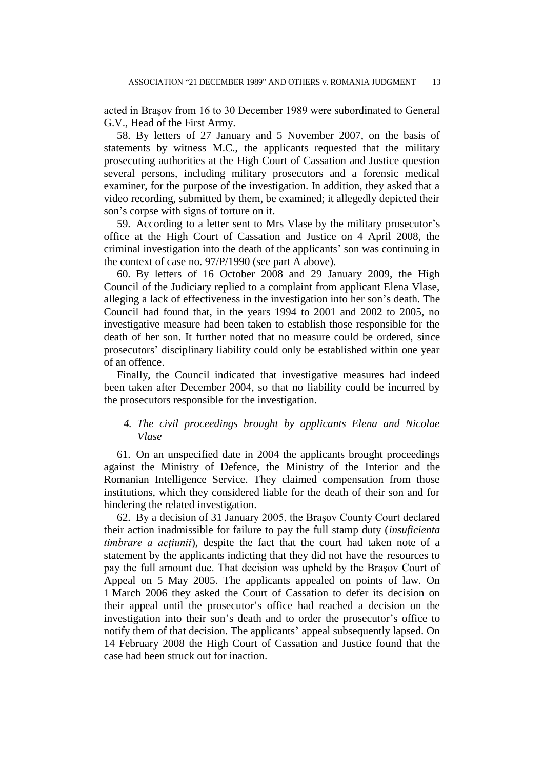acted in Braşov from 16 to 30 December 1989 were subordinated to General G.V., Head of the First Army.

58. By letters of 27 January and 5 November 2007, on the basis of statements by witness M.C., the applicants requested that the military prosecuting authorities at the High Court of Cassation and Justice question several persons, including military prosecutors and a forensic medical examiner, for the purpose of the investigation. In addition, they asked that a video recording, submitted by them, be examined; it allegedly depicted their son's corpse with signs of torture on it.

59. According to a letter sent to Mrs Vlase by the military prosecutor's office at the High Court of Cassation and Justice on 4 April 2008, the criminal investigation into the death of the applicants' son was continuing in the context of case no. 97/P/1990 (see part A above).

60. By letters of 16 October 2008 and 29 January 2009, the High Council of the Judiciary replied to a complaint from applicant Elena Vlase, alleging a lack of effectiveness in the investigation into her son's death. The Council had found that, in the years 1994 to 2001 and 2002 to 2005, no investigative measure had been taken to establish those responsible for the death of her son. It further noted that no measure could be ordered, since prosecutors' disciplinary liability could only be established within one year of an offence.

Finally, the Council indicated that investigative measures had indeed been taken after December 2004, so that no liability could be incurred by the prosecutors responsible for the investigation.

## *4. The civil proceedings brought by applicants Elena and Nicolae Vlase*

61. On an unspecified date in 2004 the applicants brought proceedings against the Ministry of Defence, the Ministry of the Interior and the Romanian Intelligence Service. They claimed compensation from those institutions, which they considered liable for the death of their son and for hindering the related investigation.

62. By a decision of 31 January 2005, the Braşov County Court declared their action inadmissible for failure to pay the full stamp duty (*insuficienta timbrare a acţiunii*), despite the fact that the court had taken note of a statement by the applicants indicting that they did not have the resources to pay the full amount due. That decision was upheld by the Braşov Court of Appeal on 5 May 2005. The applicants appealed on points of law. On 1 March 2006 they asked the Court of Cassation to defer its decision on their appeal until the prosecutor's office had reached a decision on the investigation into their son's death and to order the prosecutor's office to notify them of that decision. The applicants' appeal subsequently lapsed. On 14 February 2008 the High Court of Cassation and Justice found that the case had been struck out for inaction.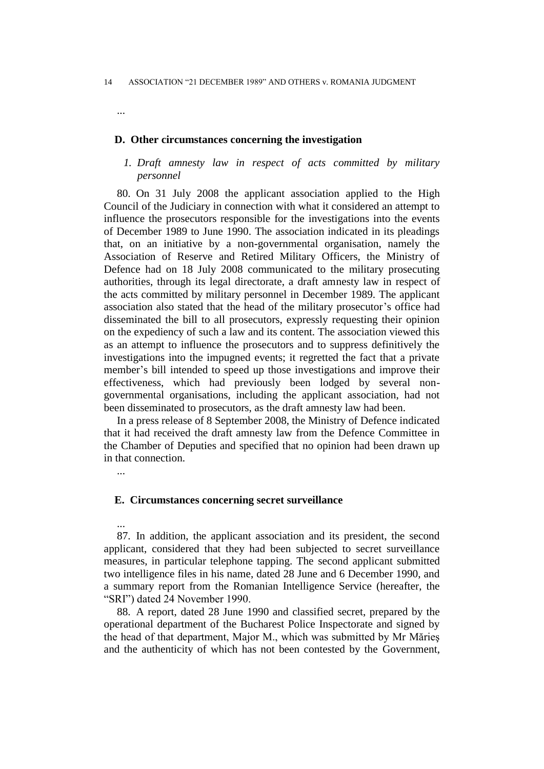...

## **D. Other circumstances concerning the investigation**

## *1. Draft amnesty law in respect of acts committed by military personnel*

80. On 31 July 2008 the applicant association applied to the High Council of the Judiciary in connection with what it considered an attempt to influence the prosecutors responsible for the investigations into the events of December 1989 to June 1990. The association indicated in its pleadings that, on an initiative by a non-governmental organisation, namely the Association of Reserve and Retired Military Officers, the Ministry of Defence had on 18 July 2008 communicated to the military prosecuting authorities, through its legal directorate, a draft amnesty law in respect of the acts committed by military personnel in December 1989. The applicant association also stated that the head of the military prosecutor's office had disseminated the bill to all prosecutors, expressly requesting their opinion on the expediency of such a law and its content. The association viewed this as an attempt to influence the prosecutors and to suppress definitively the investigations into the impugned events; it regretted the fact that a private member's bill intended to speed up those investigations and improve their effectiveness, which had previously been lodged by several nongovernmental organisations, including the applicant association, had not been disseminated to prosecutors, as the draft amnesty law had been.

In a press release of 8 September 2008, the Ministry of Defence indicated that it had received the draft amnesty law from the Defence Committee in the Chamber of Deputies and specified that no opinion had been drawn up in that connection.

...

...

## **E. Circumstances concerning secret surveillance**

87. In addition, the applicant association and its president, the second applicant, considered that they had been subjected to secret surveillance measures, in particular telephone tapping. The second applicant submitted two intelligence files in his name, dated 28 June and 6 December 1990, and a summary report from the Romanian Intelligence Service (hereafter, the "SRI") dated 24 November 1990.

88. A report, dated 28 June 1990 and classified secret, prepared by the operational department of the Bucharest Police Inspectorate and signed by the head of that department, Major M., which was submitted by Mr Mărieş and the authenticity of which has not been contested by the Government,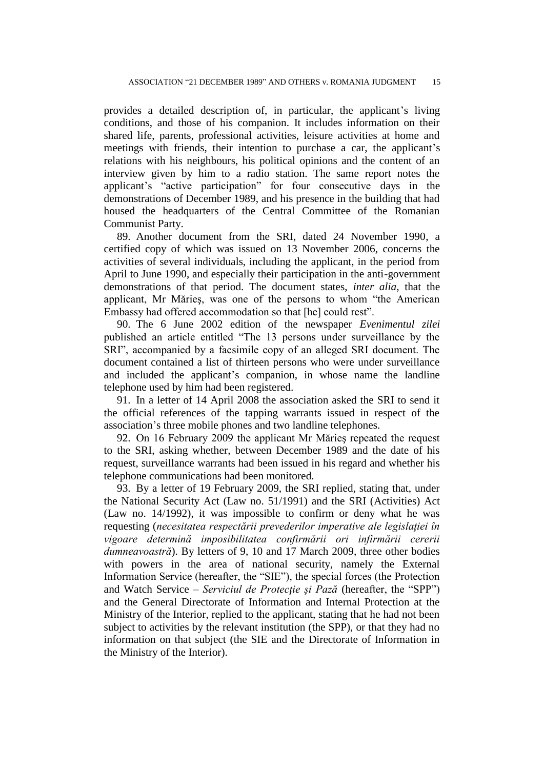provides a detailed description of, in particular, the applicant's living conditions, and those of his companion. It includes information on their shared life, parents, professional activities, leisure activities at home and meetings with friends, their intention to purchase a car, the applicant's relations with his neighbours, his political opinions and the content of an interview given by him to a radio station. The same report notes the applicant's "active participation" for four consecutive days in the demonstrations of December 1989, and his presence in the building that had housed the headquarters of the Central Committee of the Romanian Communist Party.

89. Another document from the SRI, dated 24 November 1990, a certified copy of which was issued on 13 November 2006, concerns the activities of several individuals, including the applicant, in the period from April to June 1990, and especially their participation in the anti-government demonstrations of that period. The document states, *inter alia*, that the applicant, Mr Mărieş, was one of the persons to whom "the American Embassy had offered accommodation so that [he] could rest".

90. The 6 June 2002 edition of the newspaper *Evenimentul zilei* published an article entitled "The 13 persons under surveillance by the SRI", accompanied by a facsimile copy of an alleged SRI document. The document contained a list of thirteen persons who were under surveillance and included the applicant's companion, in whose name the landline telephone used by him had been registered.

91. In a letter of 14 April 2008 the association asked the SRI to send it the official references of the tapping warrants issued in respect of the association's three mobile phones and two landline telephones.

92. On 16 February 2009 the applicant Mr Mărieş repeated the request to the SRI, asking whether, between December 1989 and the date of his request, surveillance warrants had been issued in his regard and whether his telephone communications had been monitored.

93. By a letter of 19 February 2009, the SRI replied, stating that, under the National Security Act (Law no. 51/1991) and the SRI (Activities) Act (Law no. 14/1992), it was impossible to confirm or deny what he was requesting (*necesitatea respectării prevederilor imperative ale legislaţiei în vigoare determină imposibilitatea confirmării ori infirmării cererii dumneavoastră*). By letters of 9, 10 and 17 March 2009, three other bodies with powers in the area of national security, namely the External Information Service (hereafter, the "SIE"), the special forces (the Protection and Watch Service – *Serviciul de Protecţie şi Pază* (hereafter, the "SPP") and the General Directorate of Information and Internal Protection at the Ministry of the Interior, replied to the applicant, stating that he had not been subject to activities by the relevant institution (the SPP), or that they had no information on that subject (the SIE and the Directorate of Information in the Ministry of the Interior).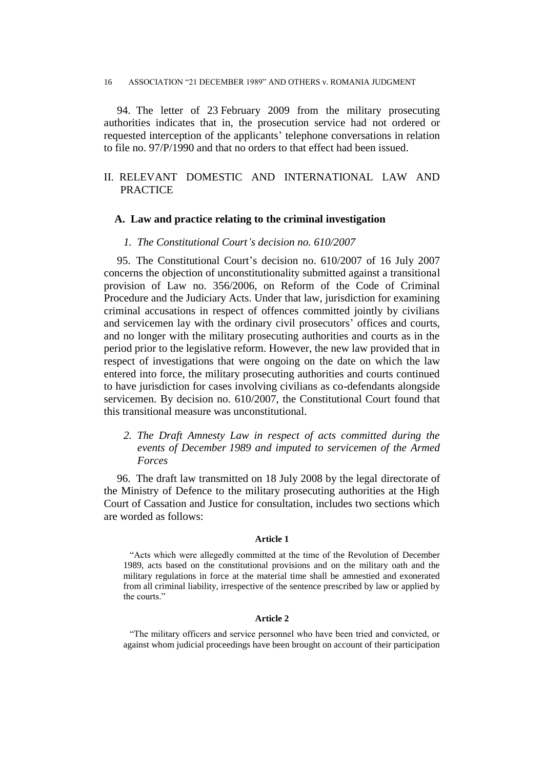94. The letter of 23 February 2009 from the military prosecuting authorities indicates that in, the prosecution service had not ordered or requested interception of the applicants' telephone conversations in relation to file no. 97/P/1990 and that no orders to that effect had been issued.

# II. RELEVANT DOMESTIC AND INTERNATIONAL LAW AND **PRACTICE**

### **A. Law and practice relating to the criminal investigation**

### *1. The Constitutional Court's decision no. 610/2007*

95. The Constitutional Court's decision no. 610/2007 of 16 July 2007 concerns the objection of unconstitutionality submitted against a transitional provision of Law no. 356/2006, on Reform of the Code of Criminal Procedure and the Judiciary Acts. Under that law, jurisdiction for examining criminal accusations in respect of offences committed jointly by civilians and servicemen lay with the ordinary civil prosecutors' offices and courts, and no longer with the military prosecuting authorities and courts as in the period prior to the legislative reform. However, the new law provided that in respect of investigations that were ongoing on the date on which the law entered into force, the military prosecuting authorities and courts continued to have jurisdiction for cases involving civilians as co-defendants alongside servicemen. By decision no. 610/2007, the Constitutional Court found that this transitional measure was unconstitutional.

## *2. The Draft Amnesty Law in respect of acts committed during the events of December 1989 and imputed to servicemen of the Armed Forces*

96. The draft law transmitted on 18 July 2008 by the legal directorate of the Ministry of Defence to the military prosecuting authorities at the High Court of Cassation and Justice for consultation, includes two sections which are worded as follows:

#### **Article 1**

"Acts which were allegedly committed at the time of the Revolution of December 1989, acts based on the constitutional provisions and on the military oath and the military regulations in force at the material time shall be amnestied and exonerated from all criminal liability, irrespective of the sentence prescribed by law or applied by the courts."

#### **Article 2**

"The military officers and service personnel who have been tried and convicted, or against whom judicial proceedings have been brought on account of their participation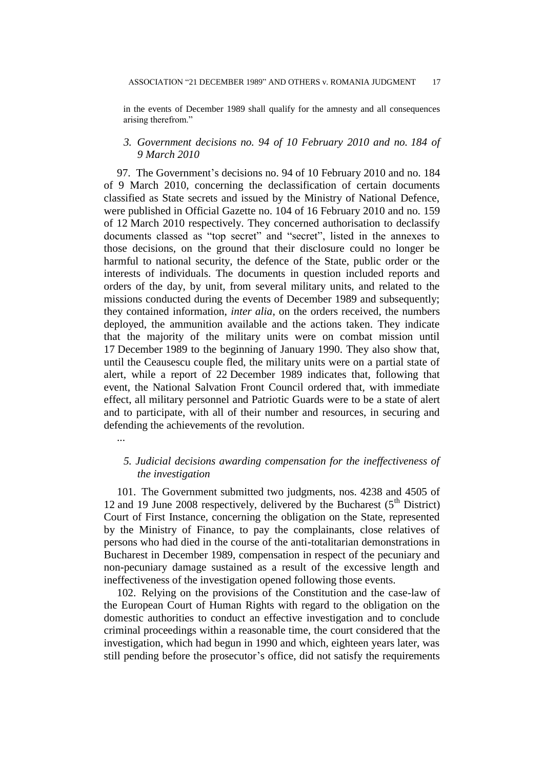in the events of December 1989 shall qualify for the amnesty and all consequences arising therefrom."

## *3. Government decisions no. 94 of 10 February 2010 and no. 184 of 9 March 2010*

97. The Government's decisions no. 94 of 10 February 2010 and no. 184 of 9 March 2010, concerning the declassification of certain documents classified as State secrets and issued by the Ministry of National Defence, were published in Official Gazette no. 104 of 16 February 2010 and no. 159 of 12 March 2010 respectively. They concerned authorisation to declassify documents classed as "top secret" and "secret", listed in the annexes to those decisions, on the ground that their disclosure could no longer be harmful to national security, the defence of the State, public order or the interests of individuals. The documents in question included reports and orders of the day, by unit, from several military units, and related to the missions conducted during the events of December 1989 and subsequently; they contained information, *inter alia*, on the orders received, the numbers deployed, the ammunition available and the actions taken. They indicate that the majority of the military units were on combat mission until 17 December 1989 to the beginning of January 1990. They also show that, until the Ceausescu couple fled, the military units were on a partial state of alert, while a report of 22 December 1989 indicates that, following that event, the National Salvation Front Council ordered that, with immediate effect, all military personnel and Patriotic Guards were to be a state of alert and to participate, with all of their number and resources, in securing and defending the achievements of the revolution.

...

## *5. Judicial decisions awarding compensation for the ineffectiveness of the investigation*

101. The Government submitted two judgments, nos. 4238 and 4505 of 12 and 19 June 2008 respectively, delivered by the Bucharest  $(5<sup>th</sup> District)$ Court of First Instance, concerning the obligation on the State, represented by the Ministry of Finance, to pay the complainants, close relatives of persons who had died in the course of the anti-totalitarian demonstrations in Bucharest in December 1989, compensation in respect of the pecuniary and non-pecuniary damage sustained as a result of the excessive length and ineffectiveness of the investigation opened following those events.

102. Relying on the provisions of the Constitution and the case-law of the European Court of Human Rights with regard to the obligation on the domestic authorities to conduct an effective investigation and to conclude criminal proceedings within a reasonable time, the court considered that the investigation, which had begun in 1990 and which, eighteen years later, was still pending before the prosecutor's office, did not satisfy the requirements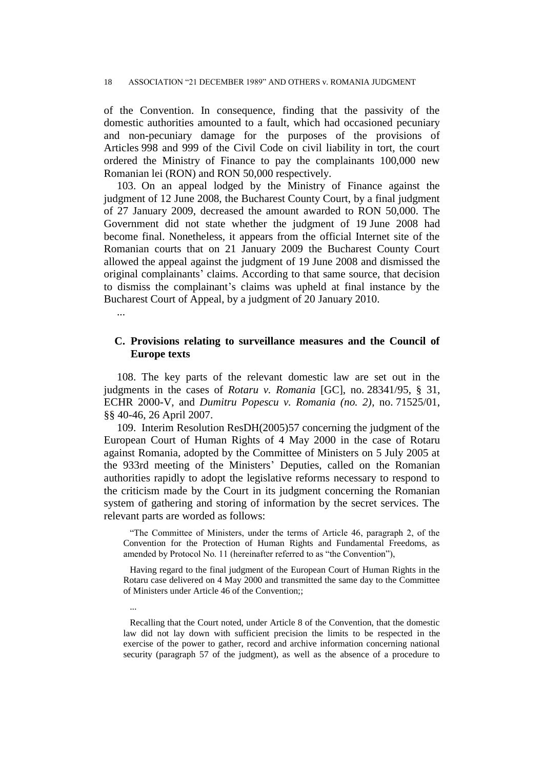of the Convention. In consequence, finding that the passivity of the domestic authorities amounted to a fault, which had occasioned pecuniary and non-pecuniary damage for the purposes of the provisions of Articles 998 and 999 of the Civil Code on civil liability in tort, the court ordered the Ministry of Finance to pay the complainants 100,000 new Romanian lei (RON) and RON 50,000 respectively.

103. On an appeal lodged by the Ministry of Finance against the judgment of 12 June 2008, the Bucharest County Court, by a final judgment of 27 January 2009, decreased the amount awarded to RON 50,000. The Government did not state whether the judgment of 19 June 2008 had become final. Nonetheless, it appears from the official Internet site of the Romanian courts that on 21 January 2009 the Bucharest County Court allowed the appeal against the judgment of 19 June 2008 and dismissed the original complainants' claims. According to that same source, that decision to dismiss the complainant's claims was upheld at final instance by the Bucharest Court of Appeal, by a judgment of 20 January 2010.

...

...

## **C. Provisions relating to surveillance measures and the Council of Europe texts**

108. The key parts of the relevant domestic law are set out in the judgments in the cases of *Rotaru v. Romania* [GC], no. 28341/95, § 31, ECHR 2000-V, and *Dumitru Popescu v. Romania (no. 2)*, no. 71525/01, §§ 40-46, 26 April 2007.

109. Interim Resolution ResDH(2005)57 concerning the judgment of the European Court of Human Rights of 4 May 2000 in the case of Rotaru against Romania, adopted by the Committee of Ministers on 5 July 2005 at the 933rd meeting of the Ministers' Deputies, called on the Romanian authorities rapidly to adopt the legislative reforms necessary to respond to the criticism made by the Court in its judgment concerning the Romanian system of gathering and storing of information by the secret services. The relevant parts are worded as follows:

"The Committee of Ministers, under the terms of Article 46, paragraph 2, of the Convention for the Protection of Human Rights and Fundamental Freedoms, as amended by Protocol No. 11 (hereinafter referred to as "the Convention"),

Having regard to the final judgment of the European Court of Human Rights in the Rotaru case delivered on 4 May 2000 and transmitted the same day to the Committee of Ministers under Article 46 of the Convention;;

Recalling that the Court noted, under Article 8 of the Convention, that the domestic law did not lay down with sufficient precision the limits to be respected in the exercise of the power to gather, record and archive information concerning national security (paragraph 57 of the judgment), as well as the absence of a procedure to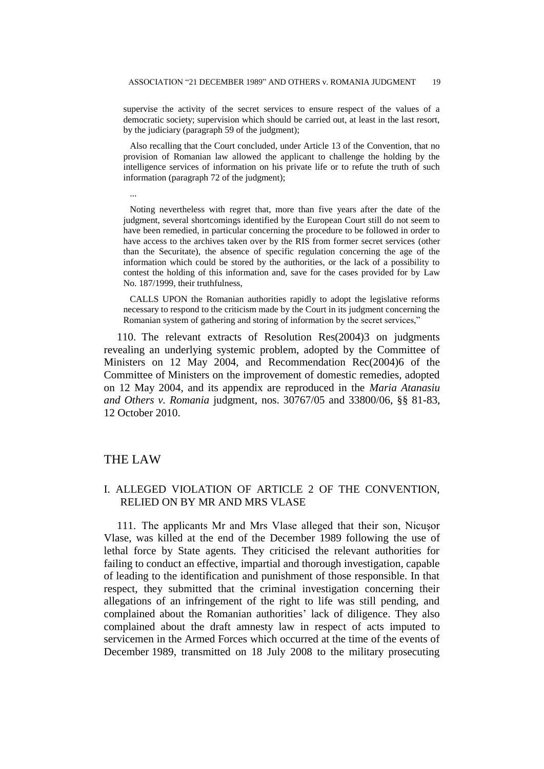supervise the activity of the secret services to ensure respect of the values of a democratic society; supervision which should be carried out, at least in the last resort, by the judiciary (paragraph 59 of the judgment);

Also recalling that the Court concluded, under Article 13 of the Convention, that no provision of Romanian law allowed the applicant to challenge the holding by the intelligence services of information on his private life or to refute the truth of such information (paragraph 72 of the judgment);

... Noting nevertheless with regret that, more than five years after the date of the judgment, several shortcomings identified by the European Court still do not seem to have been remedied, in particular concerning the procedure to be followed in order to have access to the archives taken over by the RIS from former secret services (other than the Securitate), the absence of specific regulation concerning the age of the information which could be stored by the authorities, or the lack of a possibility to contest the holding of this information and, save for the cases provided for by Law

No. 187/1999, their truthfulness,

CALLS UPON the Romanian authorities rapidly to adopt the legislative reforms necessary to respond to the criticism made by the Court in its judgment concerning the Romanian system of gathering and storing of information by the secret services,"

110. The relevant extracts of Resolution Res(2004)3 on judgments revealing an underlying systemic problem, adopted by the Committee of Ministers on 12 May 2004, and Recommendation Rec(2004)6 of the Committee of Ministers on the improvement of domestic remedies, adopted on 12 May 2004, and its appendix are reproduced in the *Maria Atanasiu and Others v. Romania* judgment, nos. 30767/05 and 33800/06, §§ 81-83, 12 October 2010.

### THE LAW

## I. ALLEGED VIOLATION OF ARTICLE 2 OF THE CONVENTION, RELIED ON BY MR AND MRS VLASE

111. The applicants Mr and Mrs Vlase alleged that their son, Nicuşor Vlase, was killed at the end of the December 1989 following the use of lethal force by State agents. They criticised the relevant authorities for failing to conduct an effective, impartial and thorough investigation, capable of leading to the identification and punishment of those responsible. In that respect, they submitted that the criminal investigation concerning their allegations of an infringement of the right to life was still pending, and complained about the Romanian authorities' lack of diligence. They also complained about the draft amnesty law in respect of acts imputed to servicemen in the Armed Forces which occurred at the time of the events of December 1989, transmitted on 18 July 2008 to the military prosecuting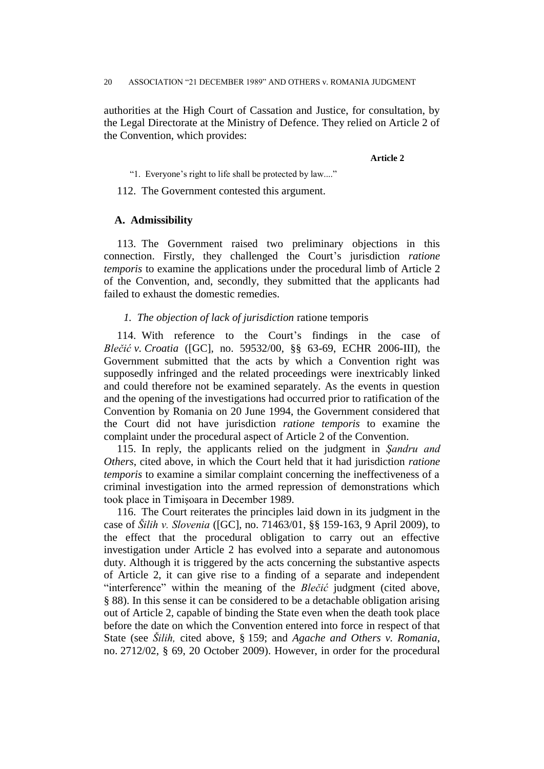authorities at the High Court of Cassation and Justice, for consultation, by the Legal Directorate at the Ministry of Defence. They relied on Article 2 of the Convention, which provides:

**Article 2**

"1. Everyone's right to life shall be protected by law...."

112. The Government contested this argument.

### **A. Admissibility**

113. The Government raised two preliminary objections in this connection. Firstly, they challenged the Court's jurisdiction *ratione temporis* to examine the applications under the procedural limb of Article 2 of the Convention, and, secondly, they submitted that the applicants had failed to exhaust the domestic remedies.

### *1. The objection of lack of jurisdiction* ratione temporis

114. With reference to the Court's findings in the case of *Blečić v. Croatia* ([GC], no. 59532/00, §§ 63-69, ECHR 2006-III), the Government submitted that the acts by which a Convention right was supposedly infringed and the related proceedings were inextricably linked and could therefore not be examined separately. As the events in question and the opening of the investigations had occurred prior to ratification of the Convention by Romania on 20 June 1994, the Government considered that the Court did not have jurisdiction *ratione temporis* to examine the complaint under the procedural aspect of Article 2 of the Convention.

115. In reply, the applicants relied on the judgment in *Şandru and Others*, cited above, in which the Court held that it had jurisdiction *ratione temporis* to examine a similar complaint concerning the ineffectiveness of a criminal investigation into the armed repression of demonstrations which took place in Timişoara in December 1989.

116. The Court reiterates the principles laid down in its judgment in the case of *Šilih v. Slovenia* ([GC], no. 71463/01, §§ 159-163, 9 April 2009), to the effect that the procedural obligation to carry out an effective investigation under Article 2 has evolved into a separate and autonomous duty. Although it is triggered by the acts concerning the substantive aspects of Article 2, it can give rise to a finding of a separate and independent "interference" within the meaning of the *Blečić* judgment (cited above, § 88). In this sense it can be considered to be a detachable obligation arising out of Article 2, capable of binding the State even when the death took place before the date on which the Convention entered into force in respect of that State (see *Šilih,* cited above, § 159; and *Agache and Others v. Romania*, no. 2712/02, § 69, 20 October 2009). However, in order for the procedural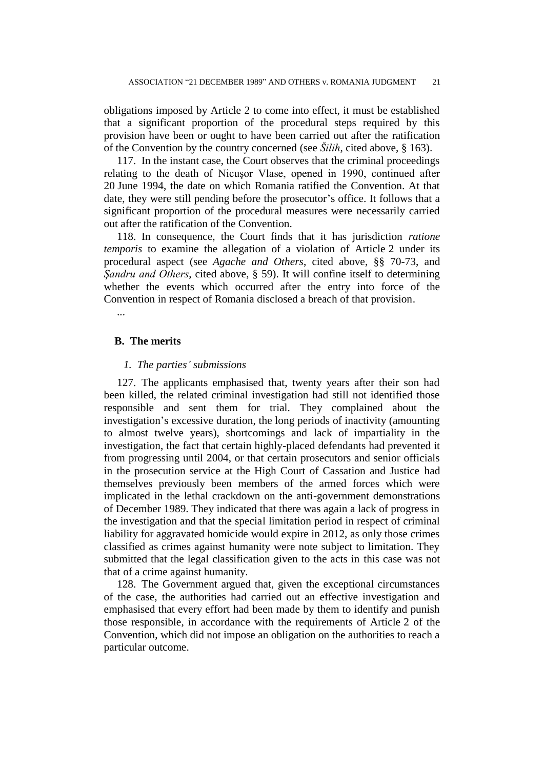obligations imposed by Article 2 to come into effect, it must be established that a significant proportion of the procedural steps required by this provision have been or ought to have been carried out after the ratification of the Convention by the country concerned (see *Šilih*, cited above, § 163).

117. In the instant case, the Court observes that the criminal proceedings relating to the death of Nicuşor Vlase, opened in 1990, continued after 20 June 1994, the date on which Romania ratified the Convention. At that date, they were still pending before the prosecutor's office. It follows that a significant proportion of the procedural measures were necessarily carried out after the ratification of the Convention.

118. In consequence, the Court finds that it has jurisdiction *ratione temporis* to examine the allegation of a violation of Article 2 under its procedural aspect (see *Agache and Others*, cited above, §§ 70-73, and *Şandru and Others*, cited above, § 59). It will confine itself to determining whether the events which occurred after the entry into force of the Convention in respect of Romania disclosed a breach of that provision.

...

### **B. The merits**

### *1. The parties' submissions*

127. The applicants emphasised that, twenty years after their son had been killed, the related criminal investigation had still not identified those responsible and sent them for trial. They complained about the investigation's excessive duration, the long periods of inactivity (amounting to almost twelve years), shortcomings and lack of impartiality in the investigation, the fact that certain highly-placed defendants had prevented it from progressing until 2004, or that certain prosecutors and senior officials in the prosecution service at the High Court of Cassation and Justice had themselves previously been members of the armed forces which were implicated in the lethal crackdown on the anti-government demonstrations of December 1989. They indicated that there was again a lack of progress in the investigation and that the special limitation period in respect of criminal liability for aggravated homicide would expire in 2012, as only those crimes classified as crimes against humanity were note subject to limitation. They submitted that the legal classification given to the acts in this case was not that of a crime against humanity.

128. The Government argued that, given the exceptional circumstances of the case, the authorities had carried out an effective investigation and emphasised that every effort had been made by them to identify and punish those responsible, in accordance with the requirements of Article 2 of the Convention, which did not impose an obligation on the authorities to reach a particular outcome.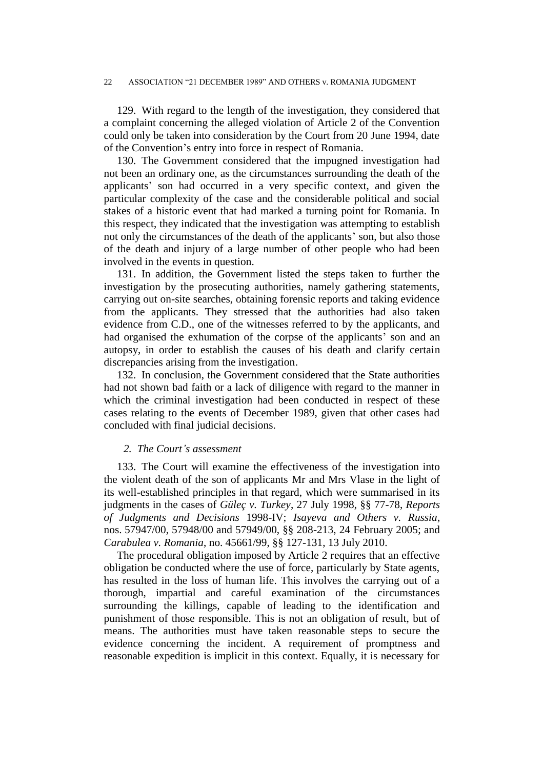129. With regard to the length of the investigation, they considered that a complaint concerning the alleged violation of Article 2 of the Convention could only be taken into consideration by the Court from 20 June 1994, date of the Convention's entry into force in respect of Romania.

130. The Government considered that the impugned investigation had not been an ordinary one, as the circumstances surrounding the death of the applicants' son had occurred in a very specific context, and given the particular complexity of the case and the considerable political and social stakes of a historic event that had marked a turning point for Romania. In this respect, they indicated that the investigation was attempting to establish not only the circumstances of the death of the applicants' son, but also those of the death and injury of a large number of other people who had been involved in the events in question.

131. In addition, the Government listed the steps taken to further the investigation by the prosecuting authorities, namely gathering statements, carrying out on-site searches, obtaining forensic reports and taking evidence from the applicants. They stressed that the authorities had also taken evidence from C.D., one of the witnesses referred to by the applicants, and had organised the exhumation of the corpse of the applicants' son and an autopsy, in order to establish the causes of his death and clarify certain discrepancies arising from the investigation.

132. In conclusion, the Government considered that the State authorities had not shown bad faith or a lack of diligence with regard to the manner in which the criminal investigation had been conducted in respect of these cases relating to the events of December 1989, given that other cases had concluded with final judicial decisions.

### *2. The Court's assessment*

133. The Court will examine the effectiveness of the investigation into the violent death of the son of applicants Mr and Mrs Vlase in the light of its well-established principles in that regard, which were summarised in its judgments in the cases of *Güleç v. Turkey*, 27 July 1998, §§ 77-78, *Reports of Judgments and Decisions* 1998-IV; *Isayeva and Others v. Russia*, nos. 57947/00, 57948/00 and 57949/00, §§ 208-213, 24 February 2005; and *Carabulea v. Romania*, no. 45661/99, §§ 127-131, 13 July 2010.

The procedural obligation imposed by Article 2 requires that an effective obligation be conducted where the use of force, particularly by State agents, has resulted in the loss of human life. This involves the carrying out of a thorough, impartial and careful examination of the circumstances surrounding the killings, capable of leading to the identification and punishment of those responsible. This is not an obligation of result, but of means. The authorities must have taken reasonable steps to secure the evidence concerning the incident. A requirement of promptness and reasonable expedition is implicit in this context. Equally, it is necessary for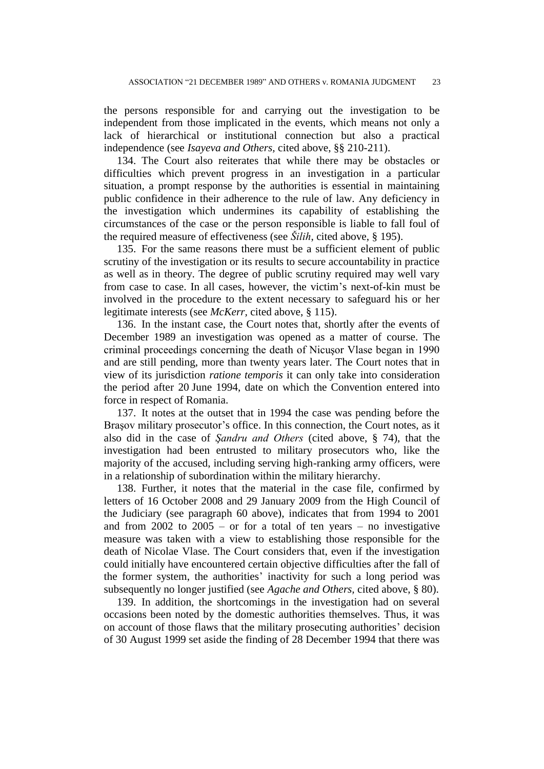the persons responsible for and carrying out the investigation to be independent from those implicated in the events, which means not only a lack of hierarchical or institutional connection but also a practical independence (see *Isayeva and Others,* cited above, §§ 210-211).

134. The Court also reiterates that while there may be obstacles or difficulties which prevent progress in an investigation in a particular situation, a prompt response by the authorities is essential in maintaining public confidence in their adherence to the rule of law. Any deficiency in the investigation which undermines its capability of establishing the circumstances of the case or the person responsible is liable to fall foul of the required measure of effectiveness (see *Šilih*, cited above, § 195).

135. For the same reasons there must be a sufficient element of public scrutiny of the investigation or its results to secure accountability in practice as well as in theory. The degree of public scrutiny required may well vary from case to case. In all cases, however, the victim's next-of-kin must be involved in the procedure to the extent necessary to safeguard his or her legitimate interests (see *McKerr,* cited above, § 115).

136. In the instant case, the Court notes that, shortly after the events of December 1989 an investigation was opened as a matter of course. The criminal proceedings concerning the death of Nicuşor Vlase began in 1990 and are still pending, more than twenty years later. The Court notes that in view of its jurisdiction *ratione temporis* it can only take into consideration the period after 20 June 1994, date on which the Convention entered into force in respect of Romania.

137. It notes at the outset that in 1994 the case was pending before the Braşov military prosecutor's office. In this connection, the Court notes, as it also did in the case of *Şandru and Others* (cited above, § 74), that the investigation had been entrusted to military prosecutors who, like the majority of the accused, including serving high-ranking army officers, were in a relationship of subordination within the military hierarchy.

138. Further, it notes that the material in the case file, confirmed by letters of 16 October 2008 and 29 January 2009 from the High Council of the Judiciary (see paragraph 60 above), indicates that from 1994 to 2001 and from  $2002$  to  $2005 -$  or for a total of ten years – no investigative measure was taken with a view to establishing those responsible for the death of Nicolae Vlase. The Court considers that, even if the investigation could initially have encountered certain objective difficulties after the fall of the former system, the authorities' inactivity for such a long period was subsequently no longer justified (see *Agache and Others,* cited above, § 80).

139. In addition, the shortcomings in the investigation had on several occasions been noted by the domestic authorities themselves. Thus, it was on account of those flaws that the military prosecuting authorities' decision of 30 August 1999 set aside the finding of 28 December 1994 that there was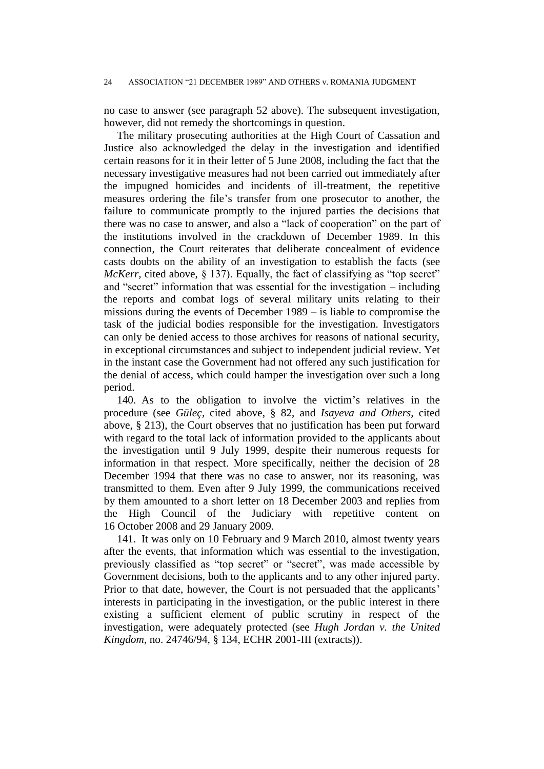no case to answer (see paragraph 52 above). The subsequent investigation, however, did not remedy the shortcomings in question.

The military prosecuting authorities at the High Court of Cassation and Justice also acknowledged the delay in the investigation and identified certain reasons for it in their letter of 5 June 2008, including the fact that the necessary investigative measures had not been carried out immediately after the impugned homicides and incidents of ill-treatment, the repetitive measures ordering the file's transfer from one prosecutor to another, the failure to communicate promptly to the injured parties the decisions that there was no case to answer, and also a "lack of cooperation" on the part of the institutions involved in the crackdown of December 1989. In this connection, the Court reiterates that deliberate concealment of evidence casts doubts on the ability of an investigation to establish the facts (see *McKerr*, cited above, § 137). Equally, the fact of classifying as "top secret" and "secret" information that was essential for the investigation – including the reports and combat logs of several military units relating to their missions during the events of December 1989 – is liable to compromise the task of the judicial bodies responsible for the investigation. Investigators can only be denied access to those archives for reasons of national security, in exceptional circumstances and subject to independent judicial review. Yet in the instant case the Government had not offered any such justification for the denial of access, which could hamper the investigation over such a long period.

140. As to the obligation to involve the victim's relatives in the procedure (see *Güleç,* cited above, § 82, and *Isayeva and Others,* cited above, § 213), the Court observes that no justification has been put forward with regard to the total lack of information provided to the applicants about the investigation until 9 July 1999, despite their numerous requests for information in that respect. More specifically, neither the decision of 28 December 1994 that there was no case to answer, nor its reasoning, was transmitted to them. Even after 9 July 1999, the communications received by them amounted to a short letter on 18 December 2003 and replies from the High Council of the Judiciary with repetitive content on 16 October 2008 and 29 January 2009.

141. It was only on 10 February and 9 March 2010, almost twenty years after the events, that information which was essential to the investigation, previously classified as "top secret" or "secret", was made accessible by Government decisions, both to the applicants and to any other injured party. Prior to that date, however, the Court is not persuaded that the applicants' interests in participating in the investigation, or the public interest in there existing a sufficient element of public scrutiny in respect of the investigation, were adequately protected (see *Hugh Jordan v. the United Kingdom*, no. 24746/94, § 134, ECHR 2001-III (extracts)).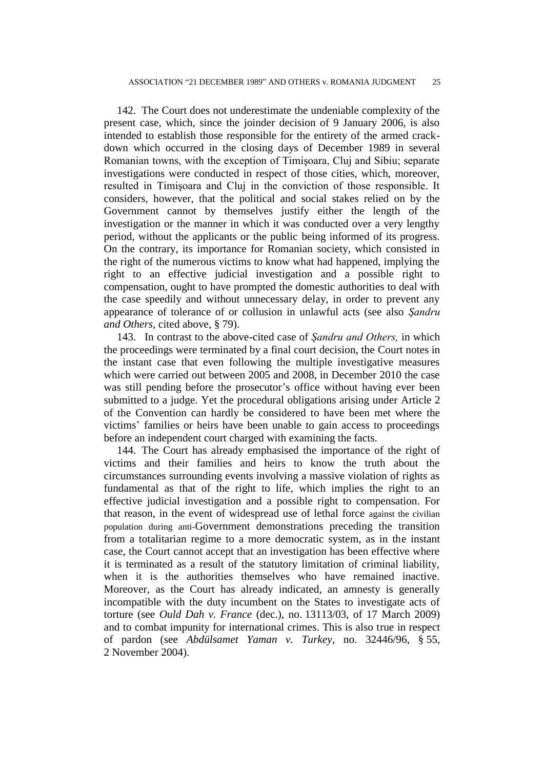142. The Court does not underestimate the undeniable complexity of the present case, which, since the joinder decision of 9 January 2006, is also intended to establish those responsible for the entirety of the armed crackdown which occurred in the closing days of December 1989 in several Romanian towns, with the exception of Timişoara, Cluj and Sibiu; separate investigations were conducted in respect of those cities, which, moreover, resulted in Timişoara and Cluj in the conviction of those responsible. It considers, however, that the political and social stakes relied on by the Government cannot by themselves justify either the length of the investigation or the manner in which it was conducted over a very lengthy period, without the applicants or the public being informed of its progress. On the contrary, its importance for Romanian society, which consisted in the right of the numerous victims to know what had happened, implying the right to an effective judicial investigation and a possible right to compensation, ought to have prompted the domestic authorities to deal with the case speedily and without unnecessary delay, in order to prevent any appearance of tolerance of or collusion in unlawful acts (see also *Şandru and Others,* cited above, § 79).

143. In contrast to the above-cited case of *Şandru and Others,* in which the proceedings were terminated by a final court decision, the Court notes in the instant case that even following the multiple investigative measures which were carried out between 2005 and 2008, in December 2010 the case was still pending before the prosecutor's office without having ever been submitted to a judge. Yet the procedural obligations arising under Article 2 of the Convention can hardly be considered to have been met where the victims' families or heirs have been unable to gain access to proceedings before an independent court charged with examining the facts.

144. The Court has already emphasised the importance of the right of victims and their families and heirs to know the truth about the circumstances surrounding events involving a massive violation of rights as fundamental as that of the right to life, which implies the right to an effective judicial investigation and a possible right to compensation. For that reason, in the event of widespread use of lethal force against the civilian population during anti-Government demonstrations preceding the transition from a totalitarian regime to a more democratic system, as in the instant case, the Court cannot accept that an investigation has been effective where it is terminated as a result of the statutory limitation of criminal liability, when it is the authorities themselves who have remained inactive. Moreover, as the Court has already indicated, an amnesty is generally incompatible with the duty incumbent on the States to investigate acts of torture (see *Ould Dah v. France* (dec.), no. 13113/03, of 17 March 2009) and to combat impunity for international crimes. This is also true in respect of pardon (see *Abdülsamet Yaman v. Turkey*, no. 32446/96, § 55, 2 November 2004).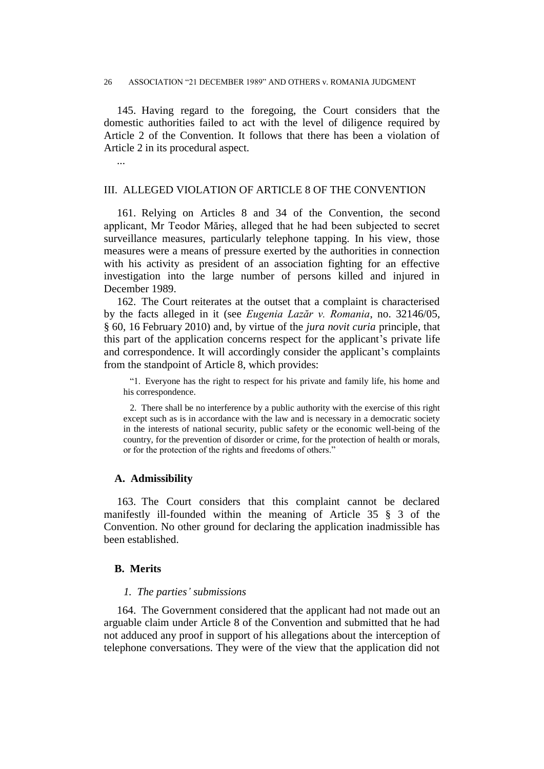145. Having regard to the foregoing, the Court considers that the domestic authorities failed to act with the level of diligence required by Article 2 of the Convention. It follows that there has been a violation of Article 2 in its procedural aspect.

...

## III. ALLEGED VIOLATION OF ARTICLE 8 OF THE CONVENTION

161. Relying on Articles 8 and 34 of the Convention, the second applicant, Mr Teodor Mărieş, alleged that he had been subjected to secret surveillance measures, particularly telephone tapping. In his view, those measures were a means of pressure exerted by the authorities in connection with his activity as president of an association fighting for an effective investigation into the large number of persons killed and injured in December 1989.

162. The Court reiterates at the outset that a complaint is characterised by the facts alleged in it (see *Eugenia Lazăr v. Romania*, no. 32146/05, § 60, 16 February 2010) and, by virtue of the *jura novit curia* principle, that this part of the application concerns respect for the applicant's private life and correspondence. It will accordingly consider the applicant's complaints from the standpoint of Article 8, which provides:

"1. Everyone has the right to respect for his private and family life, his home and his correspondence.

2. There shall be no interference by a public authority with the exercise of this right except such as is in accordance with the law and is necessary in a democratic society in the interests of national security, public safety or the economic well-being of the country, for the prevention of disorder or crime, for the protection of health or morals, or for the protection of the rights and freedoms of others."

### **A. Admissibility**

163. The Court considers that this complaint cannot be declared manifestly ill-founded within the meaning of Article 35 § 3 of the Convention. No other ground for declaring the application inadmissible has been established.

## **B. Merits**

#### *1. The parties' submissions*

164. The Government considered that the applicant had not made out an arguable claim under Article 8 of the Convention and submitted that he had not adduced any proof in support of his allegations about the interception of telephone conversations. They were of the view that the application did not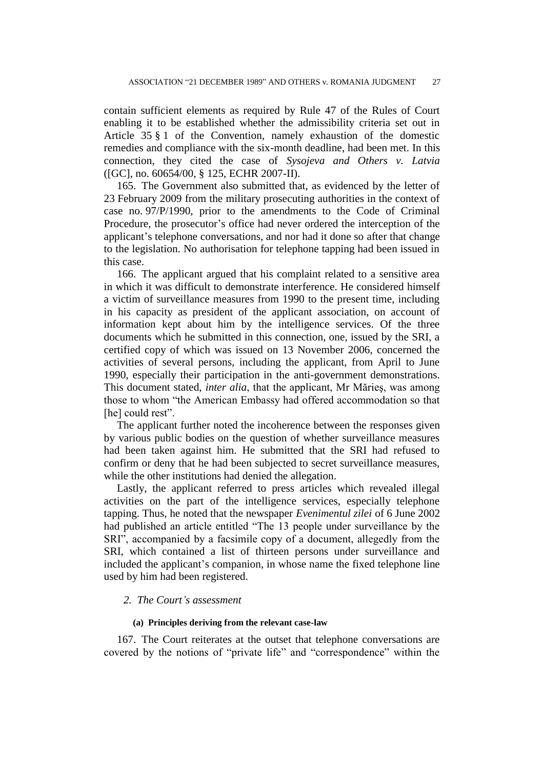contain sufficient elements as required by Rule 47 of the Rules of Court enabling it to be established whether the admissibility criteria set out in Article 35 § 1 of the Convention, namely exhaustion of the domestic remedies and compliance with the six-month deadline, had been met. In this connection, they cited the case of *Sysojeva and Others v. Latvia*  ([GC], no. 60654/00, § 125, ECHR 2007-II).

165. The Government also submitted that, as evidenced by the letter of 23 February 2009 from the military prosecuting authorities in the context of case no. 97/P/1990, prior to the amendments to the Code of Criminal Procedure, the prosecutor's office had never ordered the interception of the applicant's telephone conversations, and nor had it done so after that change to the legislation. No authorisation for telephone tapping had been issued in this case.

166. The applicant argued that his complaint related to a sensitive area in which it was difficult to demonstrate interference. He considered himself a victim of surveillance measures from 1990 to the present time, including in his capacity as president of the applicant association, on account of information kept about him by the intelligence services. Of the three documents which he submitted in this connection, one, issued by the SRI, a certified copy of which was issued on 13 November 2006, concerned the activities of several persons, including the applicant, from April to June 1990, especially their participation in the anti-government demonstrations. This document stated, *inter alia*, that the applicant, Mr Mărieş, was among those to whom "the American Embassy had offered accommodation so that [he] could rest".

The applicant further noted the incoherence between the responses given by various public bodies on the question of whether surveillance measures had been taken against him. He submitted that the SRI had refused to confirm or deny that he had been subjected to secret surveillance measures, while the other institutions had denied the allegation.

Lastly, the applicant referred to press articles which revealed illegal activities on the part of the intelligence services, especially telephone tapping. Thus, he noted that the newspaper *Evenimentul zilei* of 6 June 2002 had published an article entitled "The 13 people under surveillance by the SRI", accompanied by a facsimile copy of a document, allegedly from the SRI, which contained a list of thirteen persons under surveillance and included the applicant's companion, in whose name the fixed telephone line used by him had been registered.

### *2. The Court's assessment*

#### **(a) Principles deriving from the relevant case-law**

167. The Court reiterates at the outset that telephone conversations are covered by the notions of "private life" and "correspondence" within the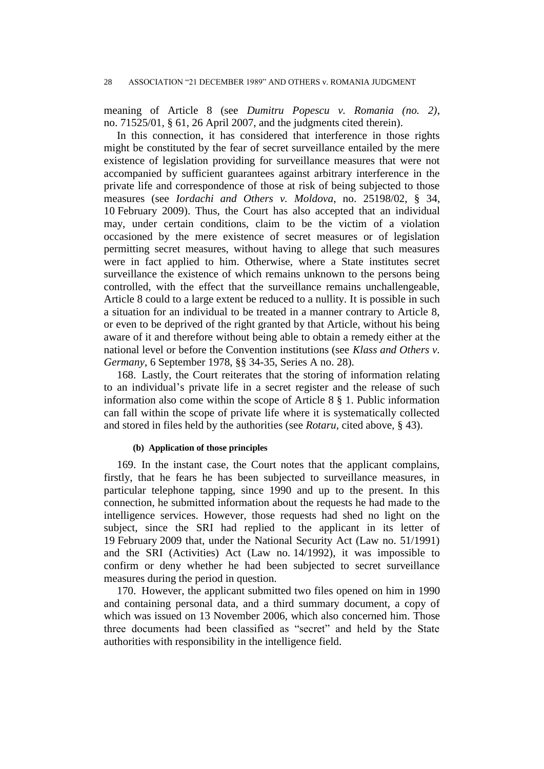meaning of Article 8 (see *Dumitru Popescu v. Romania (no. 2)*, no. 71525/01, § 61, 26 April 2007, and the judgments cited therein).

In this connection, it has considered that interference in those rights might be constituted by the fear of secret surveillance entailed by the mere existence of legislation providing for surveillance measures that were not accompanied by sufficient guarantees against arbitrary interference in the private life and correspondence of those at risk of being subjected to those measures (see *Iordachi and Others v. Moldova*, no. 25198/02, § 34, 10 February 2009). Thus, the Court has also accepted that an individual may, under certain conditions, claim to be the victim of a violation occasioned by the mere existence of secret measures or of legislation permitting secret measures, without having to allege that such measures were in fact applied to him. Otherwise, where a State institutes secret surveillance the existence of which remains unknown to the persons being controlled, with the effect that the surveillance remains unchallengeable, Article 8 could to a large extent be reduced to a nullity. It is possible in such a situation for an individual to be treated in a manner contrary to Article 8, or even to be deprived of the right granted by that Article, without his being aware of it and therefore without being able to obtain a remedy either at the national level or before the Convention institutions (see *Klass and Others v. Germany*, 6 September 1978, §§ 34-35, Series A no. 28).

168. Lastly, the Court reiterates that the storing of information relating to an individual's private life in a secret register and the release of such information also come within the scope of Article 8 § 1. Public information can fall within the scope of private life where it is systematically collected and stored in files held by the authorities (see *Rotaru,* cited above, § 43).

#### **(b) Application of those principles**

169. In the instant case, the Court notes that the applicant complains, firstly, that he fears he has been subjected to surveillance measures, in particular telephone tapping, since 1990 and up to the present. In this connection, he submitted information about the requests he had made to the intelligence services. However, those requests had shed no light on the subject, since the SRI had replied to the applicant in its letter of 19 February 2009 that, under the National Security Act (Law no. 51/1991) and the SRI (Activities) Act (Law no. 14/1992), it was impossible to confirm or deny whether he had been subjected to secret surveillance measures during the period in question.

170. However, the applicant submitted two files opened on him in 1990 and containing personal data, and a third summary document, a copy of which was issued on 13 November 2006, which also concerned him. Those three documents had been classified as "secret" and held by the State authorities with responsibility in the intelligence field.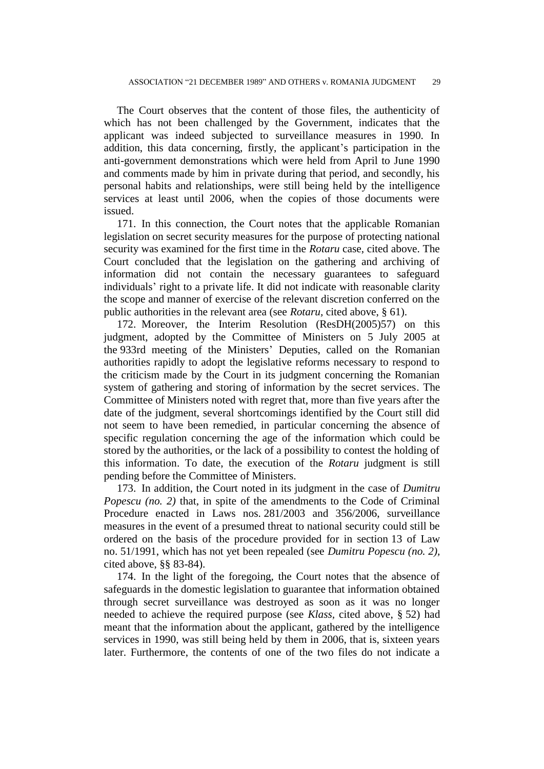The Court observes that the content of those files, the authenticity of which has not been challenged by the Government, indicates that the applicant was indeed subjected to surveillance measures in 1990. In addition, this data concerning, firstly, the applicant's participation in the anti-government demonstrations which were held from April to June 1990 and comments made by him in private during that period, and secondly, his personal habits and relationships, were still being held by the intelligence services at least until 2006, when the copies of those documents were issued.

171. In this connection, the Court notes that the applicable Romanian legislation on secret security measures for the purpose of protecting national security was examined for the first time in the *Rotaru* case, cited above. The Court concluded that the legislation on the gathering and archiving of information did not contain the necessary guarantees to safeguard individuals' right to a private life. It did not indicate with reasonable clarity the scope and manner of exercise of the relevant discretion conferred on the public authorities in the relevant area (see *Rotaru,* cited above, § 61).

172. Moreover, the Interim Resolution (ResDH(2005)57) on this judgment, adopted by the Committee of Ministers on 5 July 2005 at the 933rd meeting of the Ministers' Deputies, called on the Romanian authorities rapidly to adopt the legislative reforms necessary to respond to the criticism made by the Court in its judgment concerning the Romanian system of gathering and storing of information by the secret services. The Committee of Ministers noted with regret that, more than five years after the date of the judgment, several shortcomings identified by the Court still did not seem to have been remedied, in particular concerning the absence of specific regulation concerning the age of the information which could be stored by the authorities, or the lack of a possibility to contest the holding of this information. To date, the execution of the *Rotaru* judgment is still pending before the Committee of Ministers.

173. In addition, the Court noted in its judgment in the case of *Dumitru Popescu (no. 2)* that, in spite of the amendments to the Code of Criminal Procedure enacted in Laws nos. 281/2003 and 356/2006, surveillance measures in the event of a presumed threat to national security could still be ordered on the basis of the procedure provided for in section 13 of Law no. 51/1991, which has not yet been repealed (see *Dumitru Popescu (no. 2),*  cited above, §§ 83-84).

174. In the light of the foregoing, the Court notes that the absence of safeguards in the domestic legislation to guarantee that information obtained through secret surveillance was destroyed as soon as it was no longer needed to achieve the required purpose (see *Klass,* cited above, § 52) had meant that the information about the applicant, gathered by the intelligence services in 1990, was still being held by them in 2006, that is, sixteen years later. Furthermore, the contents of one of the two files do not indicate a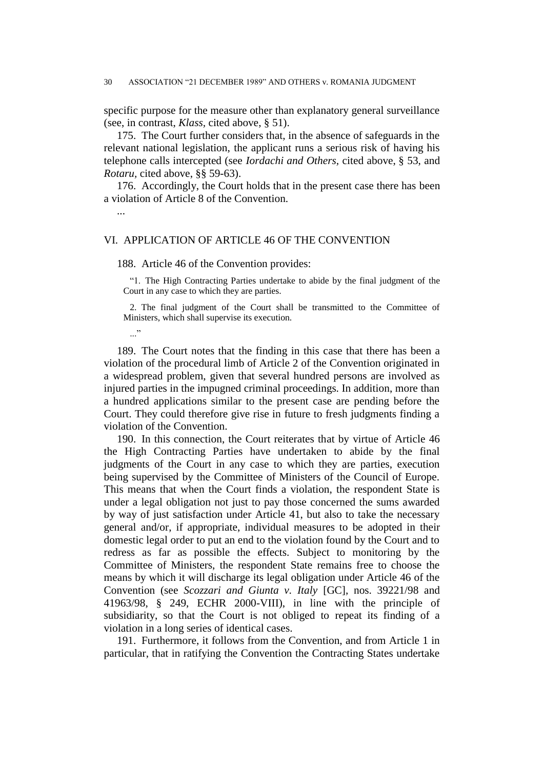specific purpose for the measure other than explanatory general surveillance (see, in contrast, *Klass,* cited above, § 51).

175. The Court further considers that, in the absence of safeguards in the relevant national legislation, the applicant runs a serious risk of having his telephone calls intercepted (see *Iordachi and Others,* cited above, § 53, and *Rotaru,* cited above, §§ 59-63).

176. Accordingly, the Court holds that in the present case there has been a violation of Article 8 of the Convention.

...

### VI. APPLICATION OF ARTICLE 46 OF THE CONVENTION

188. Article 46 of the Convention provides:

"1. The High Contracting Parties undertake to abide by the final judgment of the Court in any case to which they are parties.

2. The final judgment of the Court shall be transmitted to the Committee of Ministers, which shall supervise its execution.

..."

189. The Court notes that the finding in this case that there has been a violation of the procedural limb of Article 2 of the Convention originated in a widespread problem, given that several hundred persons are involved as injured parties in the impugned criminal proceedings. In addition, more than a hundred applications similar to the present case are pending before the Court. They could therefore give rise in future to fresh judgments finding a violation of the Convention.

190. In this connection, the Court reiterates that by virtue of Article 46 the High Contracting Parties have undertaken to abide by the final judgments of the Court in any case to which they are parties, execution being supervised by the Committee of Ministers of the Council of Europe. This means that when the Court finds a violation, the respondent State is under a legal obligation not just to pay those concerned the sums awarded by way of just satisfaction under Article 41, but also to take the necessary general and/or, if appropriate, individual measures to be adopted in their domestic legal order to put an end to the violation found by the Court and to redress as far as possible the effects. Subject to monitoring by the Committee of Ministers, the respondent State remains free to choose the means by which it will discharge its legal obligation under Article 46 of the Convention (see *Scozzari and Giunta v. Italy* [GC], nos. 39221/98 and 41963/98, § 249, ECHR 2000-VIII), in line with the principle of subsidiarity, so that the Court is not obliged to repeat its finding of a violation in a long series of identical cases.

191. Furthermore, it follows from the Convention, and from Article 1 in particular, that in ratifying the Convention the Contracting States undertake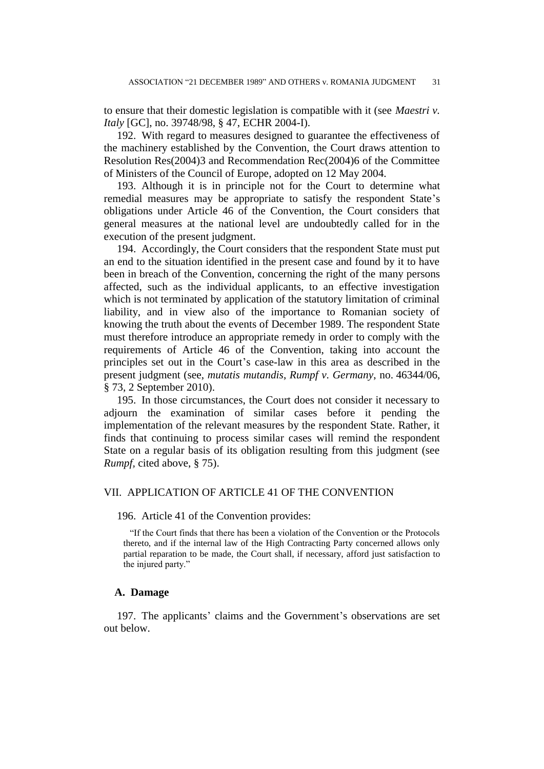to ensure that their domestic legislation is compatible with it (see *Maestri v. Italy* [GC], no. 39748/98, § 47, ECHR 2004-I).

192. With regard to measures designed to guarantee the effectiveness of the machinery established by the Convention, the Court draws attention to Resolution Res(2004)3 and Recommendation Rec(2004)6 of the Committee of Ministers of the Council of Europe, adopted on 12 May 2004.

193. Although it is in principle not for the Court to determine what remedial measures may be appropriate to satisfy the respondent State's obligations under Article 46 of the Convention, the Court considers that general measures at the national level are undoubtedly called for in the execution of the present judgment.

194. Accordingly, the Court considers that the respondent State must put an end to the situation identified in the present case and found by it to have been in breach of the Convention, concerning the right of the many persons affected, such as the individual applicants, to an effective investigation which is not terminated by application of the statutory limitation of criminal liability, and in view also of the importance to Romanian society of knowing the truth about the events of December 1989. The respondent State must therefore introduce an appropriate remedy in order to comply with the requirements of Article 46 of the Convention, taking into account the principles set out in the Court's case-law in this area as described in the present judgment (see, *mutatis mutandis*, *Rumpf v. Germany*, no. 46344/06, § 73, 2 September 2010).

195. In those circumstances, the Court does not consider it necessary to adjourn the examination of similar cases before it pending the implementation of the relevant measures by the respondent State. Rather, it finds that continuing to process similar cases will remind the respondent State on a regular basis of its obligation resulting from this judgment (see *Rumpf,* cited above, § 75).

### VII. APPLICATION OF ARTICLE 41 OF THE CONVENTION

196. Article 41 of the Convention provides:

"If the Court finds that there has been a violation of the Convention or the Protocols thereto, and if the internal law of the High Contracting Party concerned allows only partial reparation to be made, the Court shall, if necessary, afford just satisfaction to the injured party."

### **A. Damage**

197. The applicants' claims and the Government's observations are set out below.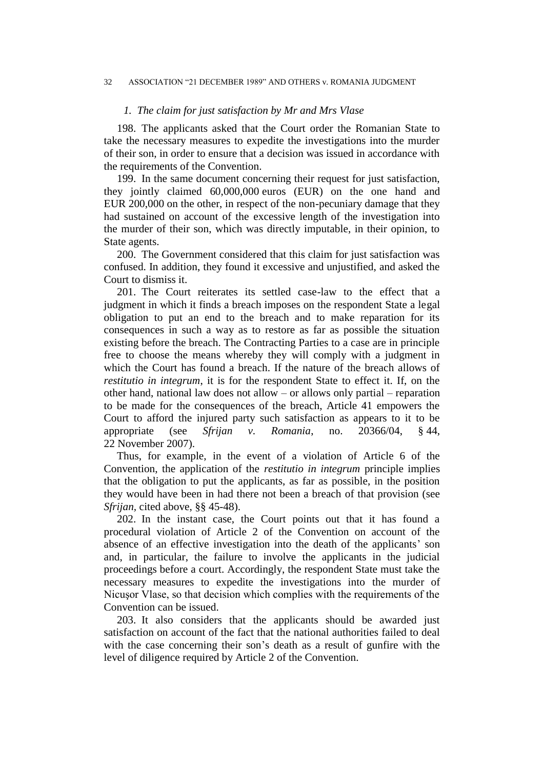### *1. The claim for just satisfaction by Mr and Mrs Vlase*

198. The applicants asked that the Court order the Romanian State to take the necessary measures to expedite the investigations into the murder of their son, in order to ensure that a decision was issued in accordance with the requirements of the Convention.

199. In the same document concerning their request for just satisfaction, they jointly claimed 60,000,000 euros (EUR) on the one hand and EUR 200,000 on the other, in respect of the non-pecuniary damage that they had sustained on account of the excessive length of the investigation into the murder of their son, which was directly imputable, in their opinion, to State agents.

200. The Government considered that this claim for just satisfaction was confused. In addition, they found it excessive and unjustified, and asked the Court to dismiss it.

201. The Court reiterates its settled case-law to the effect that a judgment in which it finds a breach imposes on the respondent State a legal obligation to put an end to the breach and to make reparation for its consequences in such a way as to restore as far as possible the situation existing before the breach. The Contracting Parties to a case are in principle free to choose the means whereby they will comply with a judgment in which the Court has found a breach. If the nature of the breach allows of *restitutio in integrum*, it is for the respondent State to effect it. If, on the other hand, national law does not allow – or allows only partial – reparation to be made for the consequences of the breach, Article 41 empowers the Court to afford the injured party such satisfaction as appears to it to be appropriate (see *Sfrijan v. Romania*, no. 20366/04, § 44, 22 November 2007).

Thus, for example, in the event of a violation of Article 6 of the Convention, the application of the *restitutio in integrum* principle implies that the obligation to put the applicants, as far as possible, in the position they would have been in had there not been a breach of that provision (see *Sfrijan,* cited above, §§ 45-48).

202. In the instant case, the Court points out that it has found a procedural violation of Article 2 of the Convention on account of the absence of an effective investigation into the death of the applicants' son and, in particular, the failure to involve the applicants in the judicial proceedings before a court. Accordingly, the respondent State must take the necessary measures to expedite the investigations into the murder of Nicuşor Vlase, so that decision which complies with the requirements of the Convention can be issued.

203. It also considers that the applicants should be awarded just satisfaction on account of the fact that the national authorities failed to deal with the case concerning their son's death as a result of gunfire with the level of diligence required by Article 2 of the Convention.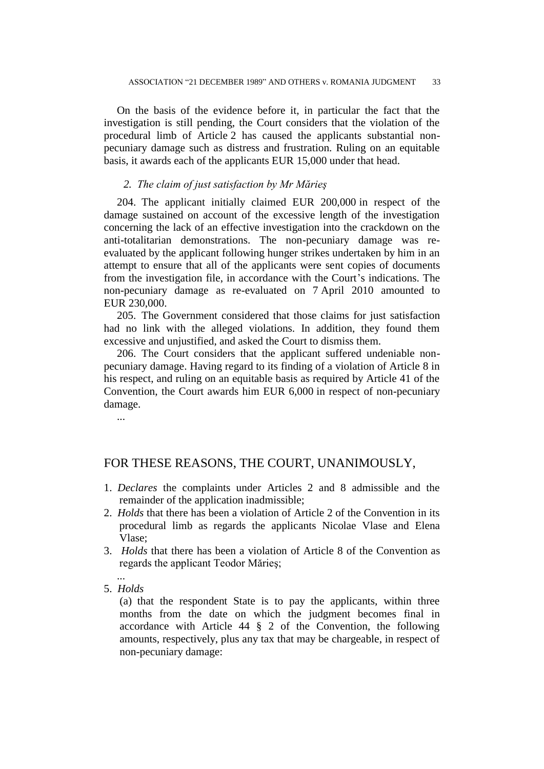On the basis of the evidence before it, in particular the fact that the investigation is still pending, the Court considers that the violation of the procedural limb of Article 2 has caused the applicants substantial nonpecuniary damage such as distress and frustration. Ruling on an equitable basis, it awards each of the applicants EUR 15,000 under that head.

### *2. The claim of just satisfaction by Mr Mărieş*

204. The applicant initially claimed EUR 200,000 in respect of the damage sustained on account of the excessive length of the investigation concerning the lack of an effective investigation into the crackdown on the anti-totalitarian demonstrations. The non-pecuniary damage was reevaluated by the applicant following hunger strikes undertaken by him in an attempt to ensure that all of the applicants were sent copies of documents from the investigation file, in accordance with the Court's indications. The non-pecuniary damage as re-evaluated on 7 April 2010 amounted to EUR 230,000.

205. The Government considered that those claims for just satisfaction had no link with the alleged violations. In addition, they found them excessive and unjustified, and asked the Court to dismiss them.

206. The Court considers that the applicant suffered undeniable nonpecuniary damage. Having regard to its finding of a violation of Article 8 in his respect, and ruling on an equitable basis as required by Article 41 of the Convention, the Court awards him EUR 6,000 in respect of non-pecuniary damage.

...

## FOR THESE REASONS, THE COURT, UNANIMOUSLY,

- 1. *Declares* the complaints under Articles 2 and 8 admissible and the remainder of the application inadmissible;
- 2. *Holds* that there has been a violation of Article 2 of the Convention in its procedural limb as regards the applicants Nicolae Vlase and Elena Vlase;
- 3. *Holds* that there has been a violation of Article 8 of the Convention as regards the applicant Teodor Mărieş;
- ... 5. *Holds*

(a) that the respondent State is to pay the applicants, within three months from the date on which the judgment becomes final in accordance with Article 44 § 2 of the Convention, the following amounts, respectively, plus any tax that may be chargeable, in respect of non-pecuniary damage: